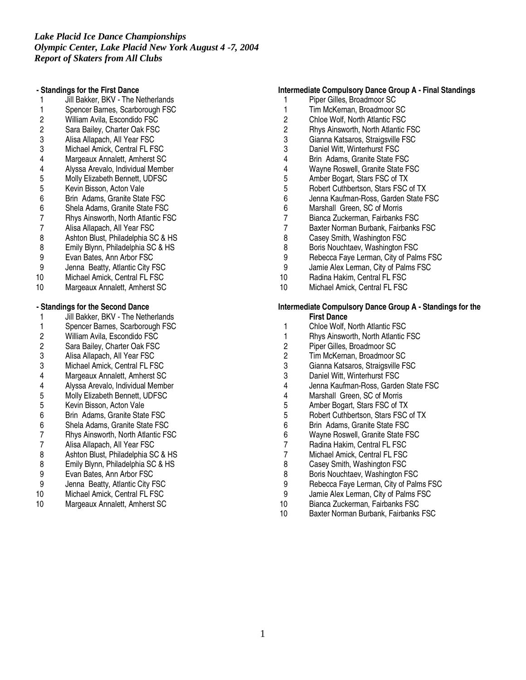### **- Standings for the First Dance**

- 1 Jill Bakker, BKV The Netherlands
- 1 Spencer Barnes, Scarborough FSC<br>2 William Avila. Escondido FSC
- 2 William Avila, Escondido FSC<br>2 Sara Bailev. Charter Oak FSC
- Sara Bailey, Charter Oak FSC
- 3 Alisa Allapach, All Year FSC
- Michael Amick, Central FL FSC
- 4 Margeaux Annalett, Amherst SC
- 4 Alyssa Arevalo, Individual Member<br>5 Molly Elizabeth Bennett, UDFSC
- 5 Molly Elizabeth Bennett, UDFSC<br>5 Kevin Bisson, Acton Vale
- 5 Kevin Bisson, Acton Vale<br>6 Brin Adams, Granite State
- 6 Brin Adams, Granite State FSC
- 6 Shela Adams, Granite State FSC
- 7 Rhys Ainsworth, North Atlantic FSC<br>7 Alisa Allapach. All Year FSC
- 7 Alisa Allapach, All Year FSC<br>8 Ashton Blust, Philadelphia SQ
- 8 Ashton Blust, Philadelphia SC & HS<br>8 Emily Blynn, Philadelphia SC & HS
- 8 Emily Blynn, Philadelphia SC & HS<br>9 Evan Bates, Ann Arbor FSC
- Evan Bates, Ann Arbor FSC
- 9 Jenna Beatty, Atlantic City FSC
- 10 Michael Amick, Central FL FSC
- 10 Margeaux Annalett, Amherst SC

## **- Standings for the Second Dance**

- 1 Jill Bakker, BKV The Netherlands
- 1 Spencer Barnes, Scarborough FSC<br>2 William Avila, Escondido FSC
- 2 William Avila, Escondido FSC<br>2 Sara Bailev. Charter Oak FSC
- 2 Sara Bailey, Charter Oak FSC<br>3 Alisa Allapach. All Year FSC
- Alisa Allapach, All Year FSC
- 3 Michael Amick, Central FL FSC
- 4 Margeaux Annalett, Amherst SC
- 4 Alyssa Arevalo, Individual Member
- 5 Molly Elizabeth Bennett, UDFSC
- 5 Kevin Bisson, Acton Vale<br>6 Brin Adams, Granite State
- 6 Brin Adams, Granite State FSC
- 6 Shela Adams, Granite State FSC
- 7 Rhys Ainsworth, North Atlantic FSC<br>7 Alisa Allapach. All Year FSC
- 7 Alisa Allapach, All Year FSC<br>8 Ashton Blust, Philadelphia SQ
- 8 Ashton Blust, Philadelphia SC & HS<br>8 Emily Blynn, Philadelphia SC & HS
- Emily Blynn, Philadelphia SC & HS
- 9 Evan Bates, Ann Arbor FSC<br>9 Jenna Beatty, Atlantic City F
- Jenna Beatty, Atlantic City FSC
- 10 Michael Amick, Central FL FSC
- 10 Margeaux Annalett, Amherst SC

## **Intermediate Compulsory Dance Group A - Final Standings**

- 1 Piper Gilles, Broadmoor SC<br>1 Tim McKernan, Broadmoor S
- 1 Tim McKernan, Broadmoor SC<br>2 Chloe Wolf. North Atlantic FSC
- 2 Chloe Wolf, North Atlantic FSC
- 2 Rhys Ainsworth, North Atlantic FSC
- 3 Gianna Katsaros, Straigsville FSC<br>3 Daniel Witt. Winterhurst FSC
- Daniel Witt, Winterhurst FSC
- 4 Brin Adams, Granite State FSC
- 4 Wayne Roswell, Granite State FSC
- 
- 5 Amber Bogart, Stars FSC of TX<br>5 Robert Cuthbertson, Stars FSC
- 5 Robert Cuthbertson, Stars FSC of TX<br>6 Jenna Kaufman-Ross, Garden State F Jenna Kaufman-Ross, Garden State FSC
- 6 Marshall Green, SC of Morris
- 
- 7 Bianca Zuckerman, Fairbanks FSC<br>7 Baxter Norman Burbank. Fairbanks 7 Baxter Norman Burbank, Fairbanks FSC
- 8 Casey Smith, Washington FSC<br>8 Boris Nouchtaey, Washington F
- 8 Boris Nouchtaev, Washington FSC<br>9 Rebecca Fave Lerman, City of Paln
- Rebecca Faye Lerman, City of Palms FSC
- 9 Jamie Alex Lerman, City of Palms FSC
- 10 Radina Hakim, Central FL FSC
- 10 Michael Amick, Central FL FSC

### **Intermediate Compulsory Dance Group A - Standings for the First Dance**

- 1 Chloe Wolf, North Atlantic FSC
- 1 Rhys Ainsworth, North Atlantic FSC<br>2 Piper Gilles. Broadmoor SC
- 2 Piper Gilles, Broadmoor SC<br>2 Tim McKernan. Broadmoor S
- **Tim McKernan, Broadmoor SC**
- 3 Gianna Katsaros, Straigsville FSC<br>3 Daniel Witt. Winterhurst FSC
- Daniel Witt, Winterhurst FSC
- 4 Jenna Kaufman-Ross, Garden State FSC
- 4 Marshall Green, SC of Morris
- 5 Amber Bogart, Stars FSC of TX<br>5 Robert Cuthbertson. Stars FSC
- 5 Robert Cuthbertson, Stars FSC of TX<br>6 Brin Adams, Granite State FSC
- Brin Adams, Granite State FSC
- 6 Wayne Roswell, Granite State FSC<br>7 Radina Hakim. Central FL FSC
- 7 Radina Hakim, Central FL FSC<br>7 Michael Amick. Central FL FSC
- Michael Amick, Central FL FSC
- 8 Casey Smith, Washington FSC
- 8 Boris Nouchtaev, Washington FSC<br>9 Rebecca Fave Lerman, City of Paln
- 9 Rebecca Faye Lerman, City of Palms FSC<br>9 Jamie Alex Lerman, City of Palms FSC
- Jamie Alex Lerman, City of Palms FSC
- 10 Bianca Zuckerman, Fairbanks FSC<br>10 Baxter Norman Burbank Fairbanks
- Baxter Norman Burbank, Fairbanks FSC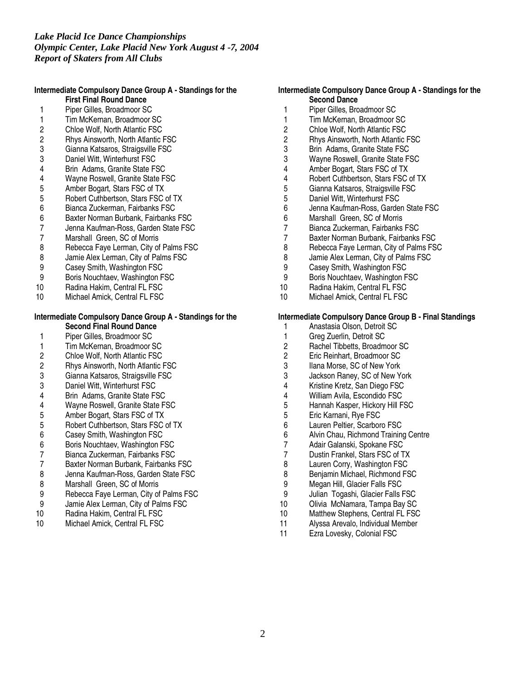# **Intermediate Compulsory Dance Group A - Standings for the**

- **First Final Round Dance**
- 1 Piper Gilles, Broadmoor SC<br>1 Tim McKernan. Broadmoor 9
- 1 Tim McKernan, Broadmoor SC<br>2 Chloe Wolf, North Atlantic FSC
- 2 Chloe Wolf, North Atlantic FSC<br>2 Rhys Ainsworth, North Atlantic F
- 2 Rhys Ainsworth, North Atlantic FSC<br>3 Gianna Katsaros, Straigsville FSC Gianna Katsaros, Straigsville FSC
- 
- 3 Daniel Witt, Winterhurst FSC
- 4 Brin Adams, Granite State FSC<br>4 Wayne Roswell, Granite State FS
- 4 Wayne Roswell, Granite State FSC<br>5 Amber Bogart, Stars FSC of TX
- 5 Amber Bogart, Stars FSC of TX<br>5 Robert Cuthbertson, Stars FSC of
- 5 Robert Cuthbertson, Stars FSC of TX<br>6 Bianca Zuckerman, Fairbanks FSC
- 6 Bianca Zuckerman, Fairbanks FSC
- 6 Baxter Norman Burbank, Fairbanks FSC
- 7 Jenna Kaufman-Ross, Garden State FSC<br>7 Marshall Green. SC of Morris
- 7 Marshall Green, SC of Morris<br>8 Rebecca Fave Lerman. City of
- 8 Rebecca Faye Lerman, City of Palms FSC<br>8 Jamie Alex Lerman, City of Palms FSC
- Jamie Alex Lerman, City of Palms FSC
- 9 Casey Smith, Washington FSC
- 9 Boris Nouchtaev, Washington FSC
- 10 Radina Hakim, Central FL FSC
- 10 Michael Amick, Central FL FSC

### **Intermediate Compulsory Dance Group A - Standings for the Second Final Round Dance**

- 
- 1 Piper Gilles, Broadmoor SC<br>1 Tim McKernan. Broadmoor 9
- 1 Tim McKernan, Broadmoor SC<br>2 Chloe Wolf. North Atlantic FSC
- 2 Chloe Wolf, North Atlantic FSC<br>2 Rhys Ainsworth, North Atlantic I
- 2 Rhys Ainsworth, North Atlantic FSC<br>3 Gianna Katsaros, Straigsville FSC Gianna Katsaros, Straigsville FSC
- 3 Daniel Witt, Winterhurst FSC
- 
- 4 Brin Adams, Granite State FSC<br>4 Wayne Roswell, Granite State FS
- 4 Wayne Roswell, Granite State FSC<br>5 Amber Bogart, Stars FSC of TX
- 5 Amber Bogart, Stars FSC of TX<br>5 Robert Cuthbertson, Stars FSC of 5 Robert Cuthbertson, Stars FSC of TX<br>6 Casey Smith, Washington FSC
- 
- 6 Casey Smith, Washington FSC
- 6 Boris Nouchtaev, Washington FSC
- 7 Bianca Zuckerman, Fairbanks FSC<br>7 Baxter Norman Burbank, Fairbanks
- 7 Baxter Norman Burbank, Fairbanks FSC<br>8 Jenna Kaufman-Ross, Garden State FSC 8 Jenna Kaufman-Ross, Garden State FSC
- 8 Marshall Green, SC of Morris
- 9 Rebecca Faye Lerman, City of Palms FSC
- 9 Jamie Alex Lerman, City of Palms FSC<br>10 Radina Hakim. Central FL FSC
- Radina Hakim, Central FL FSC
- 10 Michael Amick, Central FL FSC

### **Intermediate Compulsory Dance Group A - Standings for the Second Dance**

- 1 Piper Gilles, Broadmoor SC<br>1 Tim McKernan. Broadmoor S
- 1 Tim McKernan, Broadmoor SC<br>2 Chloe Wolf. North Atlantic FSC
- 2 Chloe Wolf, North Atlantic FSC<br>2 Rhys Ainsworth. North Atlantic I
- 2 Rhys Ainsworth, North Atlantic FSC<br>3 Brin Adams, Granite State FSC
- Brin Adams, Granite State FSC
- 3 Wayne Roswell, Granite State FSC
- 4 Amber Bogart, Stars FSC of TX
- 4 Robert Cuthbertson, Stars FSC of TX<br>5 Gianna Katsaros, Straigsville FSC
- 5 Gianna Katsaros, Straigsville FSC
- 5 Daniel Witt, Winterhurst FSC<br>6 Jenna Kaufman-Ross, Garder
- 6 Jenna Kaufman-Ross, Garden State FSC<br>6 Marshall Green. SC of Morris
- 6 Marshall Green, SC of Morris
- 7 Bianca Zuckerman, Fairbanks FSC<br>7 Baxter Norman Burbank, Fairbanks
- 7 Baxter Norman Burbank, Fairbanks FSC<br>8 Rebecca Fave Lerman, City of Palms FS
- 8 Rebecca Faye Lerman, City of Palms FSC<br>8 Jamie Alex Lerman, City of Palms FSC
- Jamie Alex Lerman, City of Palms FSC
- 9 Casey Smith, Washington FSC
- 9 Boris Nouchtaev, Washington FSC
- 10 Radina Hakim, Central FL FSC
- 10 Michael Amick, Central FL FSC

# **Intermediate Compulsory Dance Group B - Final Standings**

- 1 Anastasia Olson, Detroit SC<br>1 Greg Zuerlin, Detroit SC
- 1 Greg Zuerlin, Detroit SC<br>2 Rachel Tibbetts, Broadm
- 2 Rachel Tibbetts, Broadmoor SC<br>2 Eric Reinhart. Broadmoor SC
- 2 Eric Reinhart, Broadmoor SC
- 3 Ilana Morse, SC of New York<br>3 Jackson Ranev. SC of New Y
- Jackson Raney, SC of New York
- 4 Kristine Kretz, San Diego FSC
- 4 William Avila, Escondido FSC
- 5 Hannah Kasper, Hickory Hill FSC<br>5 Eric Karnani. Rve FSC
- 5 Eric Karnani, Rye FSC<br>6 Lauren Peltier, Scarbor
- Lauren Peltier, Scarboro FSC
- 6 Alvin Chau, Richmond Training Centre<br>7 Adair Galanski. Spokane FSC
- 7 Adair Galanski, Spokane FSC<br>7 Dustin Frankel, Stars FSC of T
- Dustin Frankel, Stars FSC of TX
- 8 Lauren Corry, Washington FSC
- 8 Benjamin Michael, Richmond FSC<br>9 Megan Hill, Glacier Falls FSC
- Megan Hill, Glacier Falls FSC
- 9 Julian Togashi, Glacier Falls FSC
- 10 Olivia McNamara, Tampa Bay SC<br>10 Matthew Stephens, Central FL FSC
- Matthew Stephens, Central FL FSC
- 11 Alyssa Arevalo, Individual Member
- 11 Ezra Lovesky, Colonial FSC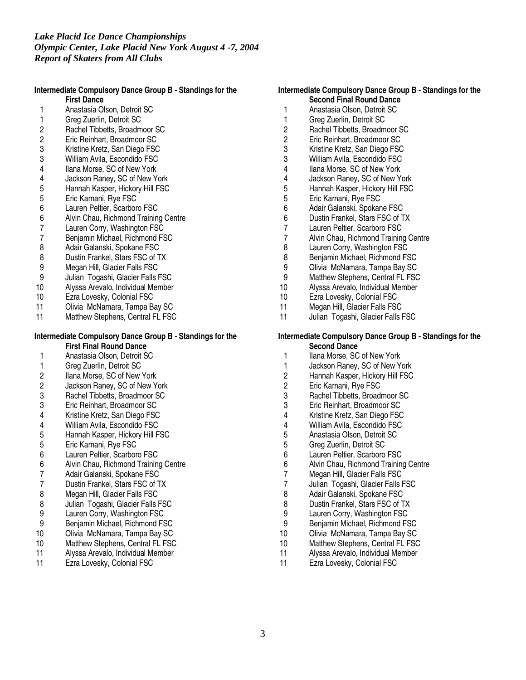### **Intermediate Compulsory Dance Group B - Standings for the First Dance**

- 1 Anastasia Olson, Detroit SC<br>1 Greg Zuerlin, Detroit SC
- 1 Greg Zuerlin, Detroit SC<br>2 Rachel Tibbetts, Broadme
- 
- 2 Rachel Tibbetts, Broadmoor SC<br>2 Eric Reinhart, Broadmoor SC 2 Eric Reinhart, Broadmoor SC<br>3 Kristine Kretz, San Diego FSC
- 3 Kristine Kretz, San Diego FSC
- 3 William Avila, Escondido FSC
- 
- 4 Ilana Morse, SC of New York<br>4 Jackson Raney, SC of New Yo
- 4 Jackson Raney, SC of New York 5 Hannah Kasper, Hickory Hill FSC<br>5 Eric Karnani, Rye FSC
- 
- 5 Eric Karnani, Rye FSC<br>6 Lauren Peltier, Scarbor
- 6 Lauren Peltier, Scarboro FSC<br>6 Alvin Chau, Richmond Training 6 Alvin Chau, Richmond Training Centre<br>7 Lauren Corry. Washington FSC
- 7 Lauren Corry, Washington FSC<br>7 Beniamin Michael. Richmond FS
- 7 Benjamin Michael, Richmond FSC<br>8 Adair Galanski, Spokane FSC
- 
- 8 Adair Galanski, Spokane FSC<br>8 Dustin Frankel, Stars FSC of T Dustin Frankel, Stars FSC of TX
- 9 Megan Hill, Glacier Falls FSC
- 9 Julian Togashi, Glacier Falls FSC
- 10 Alyssa Arevalo, Individual Member
- 
- 10 Ezra Lovesky, Colonial FSC<br>11 Olivia McNamara, Tampa B
- 11 Olivia McNamara, Tampa Bay SC<br>11 Matthew Stephens. Central FL FSC Matthew Stephens, Central FL FSC

### **Intermediate Compulsory Dance Group B - Standings for the First Final Round Dance**

- 1 Anastasia Olson, Detroit SC
- 1 Greg Zuerlin, Detroit SC<br>2 Ilana Morse, SC of New
- Ilana Morse, SC of New York
- 2 Jackson Raney, SC of New York
- 3 Rachel Tibbetts, Broadmoor SC
- 3 Eric Reinhart, Broadmoor SC<br>4 Kristine Kretz, San Diego FSC
- 4 Kristine Kretz, San Diego FSC<br>4 William Avila, Escondido FSC
- 4 William Avila, Escondido FSC<br>5 Hannah Kasper, Hickory Hill F
- 5 Hannah Kasper, Hickory Hill FSC<br>5 Eric Karnani, Rye FSC
- 5 Eric Karnani, Rye FSC<br>6 Lauren Peltier, Scarbor
- Lauren Peltier, Scarboro FSC
- 6 Alvin Chau, Richmond Training Centre
- 
- 7 Adair Galanski, Spokane FSC<br>7 Dustin Frankel, Stars FSC of T Dustin Frankel, Stars FSC of TX
- 8 Megan Hill, Glacier Falls FSC
- 
- 8 Julian Togashi, Glacier Falls FSC<br>9 Lauren Corry. Washington FSC
- 9 Lauren Corry, Washington FSC<br>9 Benjamin Michael, Richmond FS 9 Benjamin Michael, Richmond FSC
- 
- 10 Olivia McNamara, Tampa Bay SC<br>10 Matthew Stephens, Central FL FSC Matthew Stephens, Central FL FSC
- 11 Alyssa Arevalo, Individual Member
- 11 Ezra Lovesky, Colonial FSC

### **Intermediate Compulsory Dance Group B - Standings for the Second Final Round Dance**

- 1 Anastasia Olson, Detroit SC<br>1 Greg Zuerlin, Detroit SC
- Greg Zuerlin, Detroit SC
- 2 Rachel Tibbetts, Broadmoor SC
- 2 Eric Reinhart, Broadmoor SC<br>3 Kristine Kretz. San Diego FSC
- 3 Kristine Kretz, San Diego FSC
- 3 William Avila, Escondido FSC
- 4 Ilana Morse, SC of New York
- 4 Jackson Raney, SC of New York
- 5 Hannah Kasper, Hickory Hill FSC<br>5 Eric Karnani, Rye FSC
- 
- 5 Eric Karnani, Rye FSC<br>6 Adair Galanski, Spokan 6 Adair Galanski, Spokane FSC<br>6 Dustin Frankel, Stars FSC of T
- 6 Dustin Frankel, Stars FSC of TX
- 
- 7 Lauren Peltier, Scarboro FSC<br>7 Alvin Chau. Richmond Trainin 7 Alvin Chau, Richmond Training Centre<br>8 Lauren Corry, Washington FSC
- 
- 8 Lauren Corry, Washington FSC<br>8 Benjamin Michael, Richmond FS 8 Benjamin Michael, Richmond FSC
- 9 Olivia McNamara, Tampa Bay SC
- 9 Matthew Stephens, Central FL FSC
- 10 Alyssa Arevalo, Individual Member
- 
- 10 Ezra Lovesky, Colonial FSC<br>11 Megan Hill, Glacier Falls FSC
- 11 Megan Hill, Glacier Falls FSC<br>11 Julian Togashi, Glacier Falls I Julian Togashi, Glacier Falls FSC

# **Intermediate Compulsory Dance Group B - Standings for the**

- **Second Dance** 1 Ilana Morse, SC of New York 1 Jackson Raney, SC of New York<br>2 Hannah Kasper. Hickory Hill FSC 2 Hannah Kasper, Hickory Hill FSC
- 2 Eric Karnani, Rye FSC
- 3 Rachel Tibbetts, Broadmoor SC
- 
- 3 Eric Reinhart, Broadmoor SC<br>4 Kristine Kretz, San Diego FSC
- 4 Kristine Kretz, San Diego FSC<br>4 William Avila, Escondido FSC
- 4 William Avila, Escondido FSC<br>5 Anastasia Olson, Detroit SC 5 Anastasia Olson, Detroit SC<br>5 Greg Zuerlin, Detroit SC
- 5 Greg Zuerlin, Detroit SC<br>6 Lauren Peltier, Scarboro
- Lauren Peltier, Scarboro FSC
- 6 Alvin Chau, Richmond Training Centre
- 
- 7 Megan Hill, Glacier Falls FSC<br>7 Julian Togashi, Glacier Falls I Julian Togashi, Glacier Falls FSC
- 8 Adair Galanski, Spokane FSC
- 
- 8 Dustin Frankel, Stars FSC of TX<br>9 Lauren Corry. Washington FSC
- 9 Lauren Corry, Washington FSC<br>9 Benjamin Michael, Richmond FS 9 Benjamin Michael, Richmond FSC
- 10 Olivia McNamara, Tampa Bay SC<br>10 Matthew Stephens. Central FL FSC
- Matthew Stephens, Central FL FSC
- 11 Alyssa Arevalo, Individual Member
- 11 Ezra Lovesky, Colonial FSC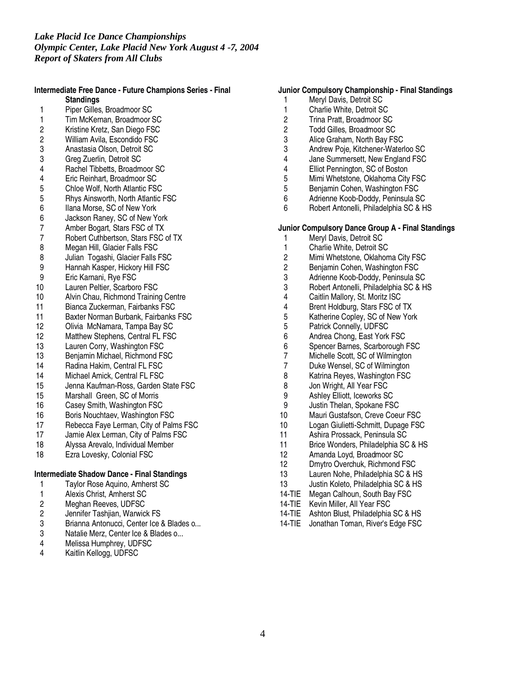## **Intermediate Free Dance - Future Champions Series - Final Standings**

- 1 Piper Gilles, Broadmoor SC<br>1 Tim McKernan, Broadmoor 9
- 1 Tim McKernan, Broadmoor SC<br>2 Kristine Kretz, San Diego FSC
- 2 Kristine Kretz, San Diego FSC<br>2 William Avila, Escondido FSC
- 2 William Avila, Escondido FSC<br>3 Anastasia Olson, Detroit SC 3 Anastasia Olson, Detroit SC
- 3 Greg Zuerlin, Detroit SC
- 
- 4 Rachel Tibbetts, Broadmoor SC<br>4 Eric Reinhart, Broadmoor SC
- 4 Eric Reinhart, Broadmoor SC<br>5 Chloe Wolf, North Atlantic FS
- 5 Chloe Wolf, North Atlantic FSC<br>5 Rhys Ainsworth, North Atlantic I
- 5 Rhys Ainsworth, North Atlantic FSC<br>6 Ilana Morse, SC of New York
- 6 Ilana Morse, SC of New York<br>6 Jackson Raney, SC of New Yo
- 6 Jackson Raney, SC of New York
- 7 Amber Bogart, Stars FSC of TX<br>7 Robert Cuthbertson. Stars FSC of
- 7 Robert Cuthbertson, Stars FSC of TX<br>8 Megan Hill, Glacier Falls FSC
- 8 Megan Hill, Glacier Falls FSC<br>8 Julian Togashi, Glacier Falls F
- Julian Togashi, Glacier Falls FSC
- 9 Hannah Kasper, Hickory Hill FSC
- 9 Eric Karnani, Rye FSC
- 10 Lauren Peltier, Scarboro FSC
- 10 Alvin Chau, Richmond Training Centre<br>11 Bianca Zuckerman. Fairbanks FSC
- 11 Bianca Zuckerman, Fairbanks FSC<br>11 Baxter Norman Burbank, Fairbanks
- Baxter Norman Burbank, Fairbanks FSC
- 12 Olivia McNamara, Tampa Bay SC<br>12 Matthew Stephens, Central FL FSC
- 12 Matthew Stephens, Central FL FSC<br>13 Lauren Corry. Washington FSC
- Lauren Corry, Washington FSC
- 13 Benjamin Michael, Richmond FSC
- 14 Radina Hakim, Central FL FSC
- 14 Michael Amick, Central FL FSC
- 15 Jenna Kaufman-Ross, Garden State FSC
- 15 Marshall Green, SC of Morris
- 16 Casey Smith, Washington FSC<br>16 Boris Nouchtaev, Washington F
- 16 Boris Nouchtaev, Washington FSC<br>17 Rebecca Faye Lerman, City of Palm
- Rebecca Faye Lerman, City of Palms FSC
- 17 Jamie Alex Lerman, City of Palms FSC<br>18 Alyssa Arevalo, Individual Member
- Alyssa Arevalo, Individual Member
- 18 Ezra Lovesky, Colonial FSC

# **Intermediate Shadow Dance - Final Standings**

- 1 Taylor Rose Aquino, Amherst SC
- 1 Alexis Christ, Amherst SC
- 
- 2 Meghan Reeves, UDFSC<br>2 Jennifer Tashjian, Warwic 2 Jennifer Tashjian, Warwick FS
- 3 Brianna Antonucci, Center Ice & Blades o...<br>3 Natalie Merz, Center Ice & Blades o...
- 3 Natalie Merz, Center Ice & Blades o...<br>4 Melissa Humphrey, UDFSC
- Melissa Humphrey, UDFSC
- 4 Kaitlin Kellogg, UDFSC

# **Junior Compulsory Championship - Final Standings**

- 1 Meryl Davis, Detroit SC
- 1 Charlie White, Detroit SC<br>2 Trina Pratt. Broadmoor SC
- 2 Trina Pratt, Broadmoor SC
- 2 Todd Gilles, Broadmoor SC
- 3 Alice Graham, North Bay FSC<br>3 Andrew Poie. Kitchener-Waterl
- 3 Andrew Poje, Kitchener-Waterloo SC
- 4 Jane Summersett, New England FSC
- 4 Elliot Pennington, SC of Boston
- 
- 5 Mimi Whetstone, Oklahoma City FSC<br>5 Benjamin Cohen, Washington FSC
- 5 Benjamin Cohen, Washington FSC<br>6 Adrienne Koob-Doddy, Peninsula S Adrienne Koob-Doddy, Peninsula SC
- 6 Robert Antonelli, Philadelphia SC & HS

# **Junior Compulsory Dance Group A - Final Standings**

- 1 Meryl Davis, Detroit SC<br>1 Charlie White, Detroit S0 1 Charlie White, Detroit SC<br>2 Mimi Whetstone, Oklahon 2 Mimi Whetstone, Oklahoma City FSC<br>2 Beniamin Cohen. Washington FSC 2 Benjamin Cohen, Washington FSC<br>3 Adrienne Koob-Doddy, Peninsula S Adrienne Koob-Doddy, Peninsula SC 3 Robert Antonelli, Philadelphia SC & HS 4 Caitlin Mallory, St. Moritz ISC 4 Brent Holdburg, Stars FSC of TX<br>5 Katherine Copley, SC of New Yor 5 Katherine Copley, SC of New York<br>5 Patrick Connelly, UDFSC 5 Patrick Connelly, UDFSC<br>6 Andrea Chong, East York 6 Andrea Chong, East York FSC<br>6 Spencer Barnes, Scarborough 6 Spencer Barnes, Scarborough FSC<br>7 Michelle Scott. SC of Wilmington 7 Michelle Scott, SC of Wilmington<br>7 Duke Wensel. SC of Wilmington Duke Wensel, SC of Wilmington 8 Katrina Reyes, Washington FSC 8 Jon Wright, All Year FSC 9 Ashley Elliott, Iceworks SC 9 Justin Thelan, Spokane FSC<br>10 Mauri Gustafson. Creve Coeu 10 Mauri Gustafson, Creve Coeur FSC<br>10 Logan Giulietti-Schmitt, Dupage FSC Logan Giulietti-Schmitt, Dupage FSC 11 Ashira Prossack, Peninsula SC<br>11 Brice Wonders, Philadelphia SC Brice Wonders, Philadelphia SC & HS 12 Amanda Loyd, Broadmoor SC 12 Dmytro Overchuk, Richmond FSC 13 Lauren Nohe, Philadelphia SC & HS 13 Justin Koleto, Philadelphia SC & HS<br>14-TIE Megan Calhoun, South Bay FSC
- Megan Calhoun, South Bay FSC
- 14-TIE Kevin Miller, All Year FSC
- 14-TIE Ashton Blust, Philadelphia SC & HS
- 14-TIE Jonathan Toman, River's Edge FSC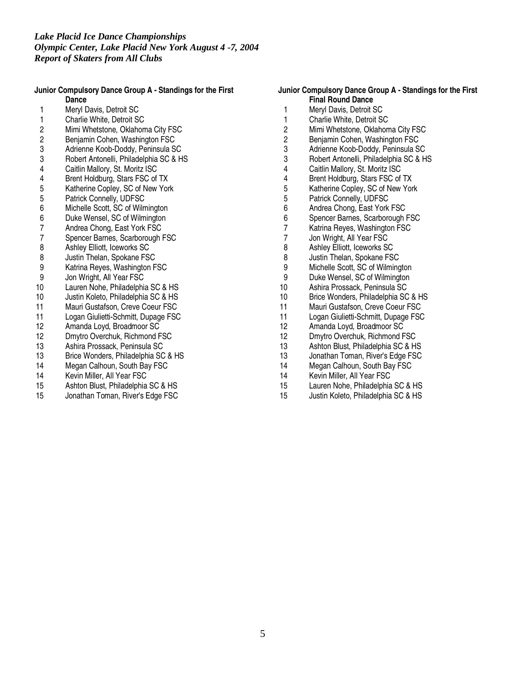### **Junior Compulsory Dance Group A - Standings for the First Dance**

- 
- 1 Meryl Davis, Detroit SC<br>1 Charlie White, Detroit SC
- 1 Charlie White, Detroit SC<br>2 Mimi Whetstone, Oklahon
- 2 Mimi Whetstone, Oklahoma City FSC<br>2 Benjamin Cohen, Washington FSC
- 2 Benjamin Cohen, Washington FSC<br>3 Adrienne Koob-Doddy. Peninsula St Adrienne Koob-Doddy, Peninsula SC
- 3 Robert Antonelli, Philadelphia SC & HS
- 
- 4 Caitlin Mallory, St. Moritz ISC
- 4 Brent Holdburg, Stars FSC of TX<br>5 Katherine Copley, SC of New Yor 5 Katherine Copley, SC of New York<br>5 Patrick Connelly, UDFSC
- 
- 5 Patrick Connelly, UDFSC<br>6 Michelle Scott, SC of Wilm 6 Michelle Scott, SC of Wilmington<br>6 Duke Wensel, SC of Wilmington
- 6 Duke Wensel, SC of Wilmington
- 
- 7 Andrea Chong, East York FSC<br>7 Spencer Barnes, Scarborough
- 7 Spencer Barnes, Scarborough FSC<br>8 Ashley Elliott, Iceworks SC
- 8 Ashley Elliott, Iceworks SC<br>8 Justin Thelan, Spokane FS Justin Thelan, Spokane FSC
- 9 Katrina Reyes, Washington FSC
- 9 Jon Wright, All Year FSC
- 10 Lauren Nohe, Philadelphia SC & HS
- 
- 10 Justin Koleto, Philadelphia SC & HS<br>11 Mauri Gustafson, Creve Coeur FSC
- 11 Mauri Gustafson, Creve Coeur FSC<br>11 Logan Giulietti-Schmitt, Dupage FSC Logan Giulietti-Schmitt, Dupage FSC
- 
- 12 Amanda Loyd, Broadmoor SC<br>12 Dmytro Overchuk, Richmond F
- 12 Dmytro Overchuk, Richmond FSC<br>13 Ashira Prossack, Peninsula SC 13 Ashira Prossack, Peninsula SC
- 13 Brice Wonders, Philadelphia SC & HS
- 14 Megan Calhoun, South Bay FSC<br>14 Kevin Miller, All Year FSC
- Kevin Miller, All Year FSC
- 15 Ashton Blust, Philadelphia SC & HS
- 15 Jonathan Toman, River's Edge FSC

### **Junior Compulsory Dance Group A - Standings for the First Final Round Dance**

- 1 Meryl Davis, Detroit SC<br>1 Charlie White, Detroit S0 Charlie White, Detroit SC 2 Mimi Whetstone, Oklahoma City FSC 2 Benjamin Cohen, Washington FSC 3 Adrienne Koob-Doddy, Peninsula SC 3 Robert Antonelli, Philadelphia SC & HS 4 Caitlin Mallory, St. Moritz ISC 4 Brent Holdburg, Stars FSC of TX<br>5 Katherine Copley, SC of New Yor 5 Katherine Copley, SC of New York<br>5 Patrick Connelly, UDFSC 5 Patrick Connelly, UDFSC<br>6 Andrea Chong, East York 6 Andrea Chong, East York FSC 6 Spencer Barnes, Scarborough FSC<br>7 Katrina Reves. Washington FSC 7 Katrina Reyes, Washington FSC<br>7 Jon Wright, All Year FSC 7 Jon Wright, All Year FSC<br>8 Ashlev Elliott. Iceworks S0 Ashley Elliott, Iceworks SC 8 Justin Thelan, Spokane FSC 9 Michelle Scott, SC of Wilmington 9 Duke Wensel, SC of Wilmington 10 Ashira Prossack, Peninsula SC 10 Brice Wonders, Philadelphia SC & HS<br>11 Mauri Gustafson. Creve Coeur FSC 11 Mauri Gustafson, Creve Coeur FSC<br>11 Logan Giulietti-Schmitt, Dupage FSC Logan Giulietti-Schmitt, Dupage FSC 12 Amanda Loyd, Broadmoor SC 12 Dmytro Overchuk, Richmond FSC
- 13 Ashton Blust, Philadelphia SC & HS
- 13 Jonathan Toman, River's Edge FSC
- 14 Megan Calhoun, South Bay FSC
- 14 Kevin Miller, All Year FSC
- 15 Lauren Nohe, Philadelphia SC & HS
- 15 Justin Koleto, Philadelphia SC & HS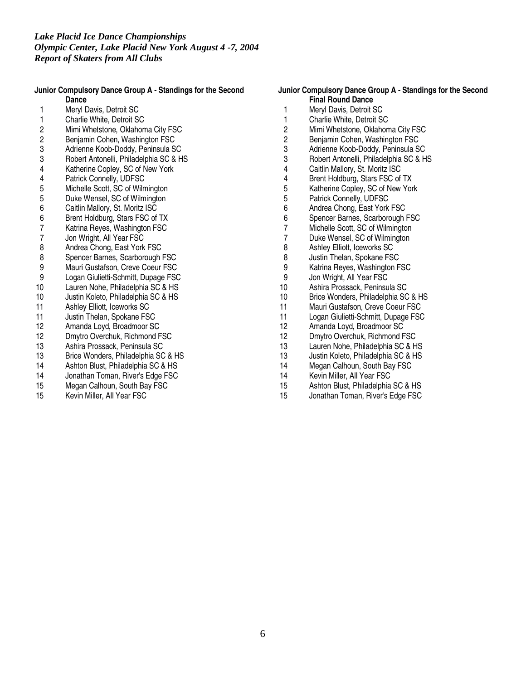### **Junior Compulsory Dance Group A - Standings for the Second Dance**

- 1 Meryl Davis, Detroit SC<br>1 Charlie White, Detroit SC
- 1 Charlie White, Detroit SC<br>2 Mimi Whetstone, Oklahon
- 2 Mimi Whetstone, Oklahoma City FSC<br>2 Benjamin Cohen, Washington FSC
- 2 Benjamin Cohen, Washington FSC<br>3 Adrienne Koob-Doddy, Peninsula St
- Adrienne Koob-Doddy, Peninsula SC
- 3 Robert Antonelli, Philadelphia SC & HS
- 4 Katherine Copley, SC of New York<br>4 Patrick Connelly, UDFSC
- 
- 4 Patrick Connelly, UDFSC<br>5 Michelle Scott, SC of Wilm 5 Michelle Scott, SC of Wilmington<br>5 Duke Wensel, SC of Wilmington
- 5 Duke Wensel, SC of Wilmington<br>6 Caitlin Mallory, St. Moritz ISC
- 6 Caitlin Mallory, St. Moritz ISC
- 6 Brent Holdburg, Stars FSC of TX
- 7 Katrina Reyes, Washington FSC<br>7 Jon Wright, All Year FSC
- 
- 7 Jon Wright, All Year FSC<br>8 Andrea Chong, East York
- 8 Andrea Chong, East York FSC<br>8 Spencer Barnes, Scarborough Spencer Barnes, Scarborough FSC
- 9 Mauri Gustafson, Creve Coeur FSC
- 9 Logan Giulietti-Schmitt, Dupage FSC
- 10 Lauren Nohe, Philadelphia SC & HS
- 10 Justin Koleto, Philadelphia SC & HS<br>11 Ashley Elliott, Iceworks SC
- 
- 11 Ashley Elliott, Iceworks SC<br>11 Justin Thelan, Spokane FS Justin Thelan, Spokane FSC
- 
- 12 Amanda Loyd, Broadmoor SC<br>12 Dmytro Overchuk, Richmond F
- 12 Dmytro Overchuk, Richmond FSC<br>13 Ashira Prossack. Peninsula SC 13 Ashira Prossack, Peninsula SC
- 13 Brice Wonders, Philadelphia SC & HS
- 
- 14 Ashton Blust, Philadelphia SC & HS<br>14 Jonathan Toman, River's Edge FSC Jonathan Toman, River's Edge FSC
- 15 Megan Calhoun, South Bay FSC
- 15 Kevin Miller, All Year FSC

### **Junior Compulsory Dance Group A - Standings for the Second Final Round Dance**

- 1 Meryl Davis, Detroit SC<br>1 Charlie White, Detroit S0 Charlie White, Detroit SC 2 Mimi Whetstone, Oklahoma City FSC<br>2 Benjamin Cohen, Washington FSC 2 Benjamin Cohen, Washington FSC Adrienne Koob-Doddy, Peninsula SC 3 Robert Antonelli, Philadelphia SC & HS 4 Caitlin Mallory, St. Moritz ISC 4 Brent Holdburg, Stars FSC of TX<br>5 Katherine Copley, SC of New Yor 5 Katherine Copley, SC of New York<br>5 Patrick Connelly, UDFSC 5 Patrick Connelly, UDFSC<br>6 Andrea Chong, East York 6 Andrea Chong, East York FSC 6 Spencer Barnes, Scarborough FSC<br>7 Michelle Scott. SC of Wilmington 7 Michelle Scott, SC of Wilmington<br>7 Duke Wensel. SC of Wilmington 7 Duke Wensel, SC of Wilmington<br>8 Ashlev Elliott, Iceworks SC Ashley Elliott, Iceworks SC 8 Justin Thelan, Spokane FSC 9 Katrina Reyes, Washington FSC 9 Jon Wright, All Year FSC 10 Ashira Prossack, Peninsula SC 10 Brice Wonders, Philadelphia SC & HS<br>11 Mauri Gustafson. Creve Coeur FSC 11 Mauri Gustafson, Creve Coeur FSC<br>11 Logan Giulietti-Schmitt, Dupage FSC Logan Giulietti-Schmitt, Dupage FSC 12 Amanda Loyd, Broadmoor SC 12 Dmytro Overchuk, Richmond FSC 13 Lauren Nohe, Philadelphia SC & HS 13 Justin Koleto, Philadelphia SC & HS 14 Megan Calhoun, South Bay FSC 14 Kevin Miller, All Year FSC
- 15 Ashton Blust, Philadelphia SC & HS
- 15 Jonathan Toman, River's Edge FSC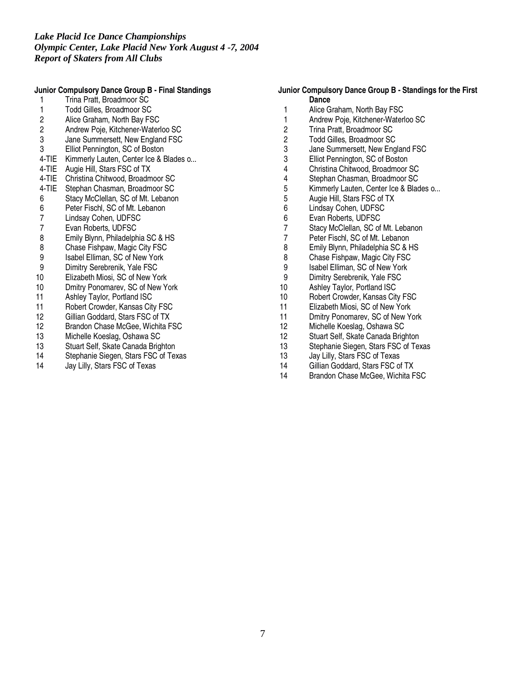## **Junior Compulsory Dance Group B - Final Standings**

- 1 Trina Pratt, Broadmoor SC
- 1 Todd Gilles, Broadmoor SC<br>2 Alice Graham. North Bav FS
- 2 Alice Graham, North Bay FSC<br>2 Andrew Poie. Kitchener-Waterl
- 2 Andrew Poje, Kitchener-Waterloo SC
- 3 Jane Summersett, New England FSC<br>3 Elliot Pennington, SC of Boston
- Elliot Pennington, SC of Boston
- 4-TIE Kimmerly Lauten, Center Ice & Blades o...
- 4-TIE Augie Hill, Stars FSC of TX
- 4-TIE Christina Chitwood, Broadmoor SC
- 4-TIE Stephan Chasman, Broadmoor SC
- 6 Stacy McClellan, SC of Mt. Lebanon
- 6 Peter Fischl, SC of Mt. Lebanon<br>7 Lindsay Cohen, UDFSC
- 7 Lindsay Cohen, UDFSC<br>7 Evan Roberts, UDFSC
- 7 Evan Roberts, UDFSC<br>8 Emily Blynn, Philadelph
- 
- 8 Emily Blynn, Philadelphia SC & HS<br>8 Chase Fishpaw, Magic City FSC
- 8 Chase Fishpaw, Magic City FSC<br>9 Isabel Elliman, SC of New York Isabel Elliman, SC of New York
- 9 Dimitry Serebrenik, Yale FSC
- 10 Elizabeth Miosi, SC of New York
- 10 Dmitry Ponomarev, SC of New York
- 
- 11 Ashley Taylor, Portland ISC<br>11 Robert Crowder, Kansas Cit
- 11 Robert Crowder, Kansas City FSC<br>12 Gillian Goddard, Stars FSC of TX
- 12 Gillian Goddard, Stars FSC of TX<br>12 Brandon Chase McGee, Wichita F Brandon Chase McGee, Wichita FSC
- 
- 13 Michelle Koeslag, Oshawa SC<br>13 Stuart Self. Skate Canada Brig Stuart Self, Skate Canada Brighton
- 14 Stephanie Siegen, Stars FSC of Texas
- 14 Jay Lilly, Stars FSC of Texas

## **Junior Compulsory Dance Group B - Standings for the First Dance**

- 1 Alice Graham, North Bay FSC<br>1 Andrew Poie. Kitchener-Waterl
- 1 Andrew Poje, Kitchener-Waterloo SC<br>2 Trina Pratt, Broadmoor SC
- 2 Trina Pratt, Broadmoor SC
- 2 Todd Gilles, Broadmoor SC<br>3 Jane Summersett. New Eng
- Jane Summersett, New England FSC
- 3 Elliot Pennington, SC of Boston
- 4 Christina Chitwood, Broadmoor SC
- 4 Stephan Chasman, Broadmoor SC<br>5 Kimmerly Lauten, Center Ice & Blac
- 5 Kimmerly Lauten, Center Ice & Blades o...<br>5 Augie Hill, Stars FSC of TX
- 5 Augie Hill, Stars FSC of TX<br>6 Lindsay Cohen, UDFSC
- 6 Lindsay Cohen, UDFSC
- 6 Evan Roberts, UDFSC
- 7 Stacy McClellan, SC of Mt. Lebanon<br>7 Peter Fischl. SC of Mt. Lebanon
- 7 Peter Fischl, SC of Mt. Lebanon<br>8 Emily Blynn, Philadelphia SC & F
- 8 Emily Blynn, Philadelphia SC & HS
- 8 Chase Fishpaw, Magic City FSC
- 9 Isabel Elliman, SC of New York
- 9 Dimitry Serebrenik, Yale FSC
- 10 Ashley Taylor, Portland ISC
- 10 Robert Crowder, Kansas City FSC<br>11 Elizabeth Miosi. SC of New York
- 11 Elizabeth Miosi, SC of New York<br>11 Dmitry Ponomarev, SC of New Yo
- Dmitry Ponomarev, SC of New York
- 12 Michelle Koeslag, Oshawa SC
- 12 Stuart Self, Skate Canada Brighton
- 13 Stephanie Siegen, Stars FSC of Texas
- 13 Jay Lilly, Stars FSC of Texas
- 14 Gillian Goddard, Stars FSC of TX
- 14 Brandon Chase McGee, Wichita FSC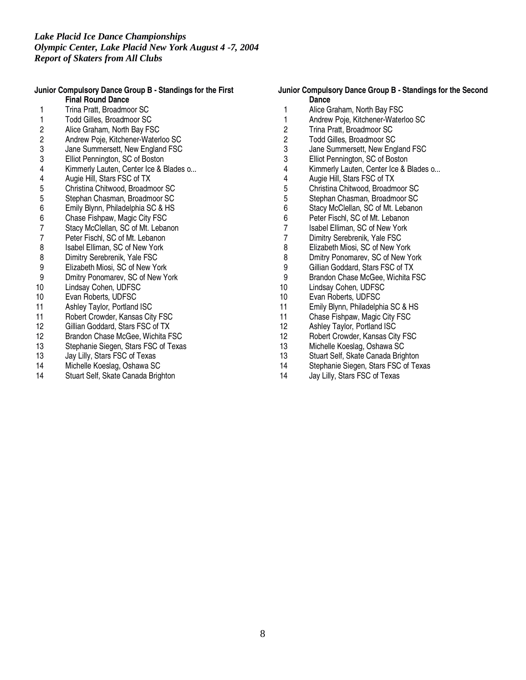### **Junior Compulsory Dance Group B - Standings for the First Final Round Dance**

- 
- 1 Trina Pratt, Broadmoor SC<br>1 Todd Gilles. Broadmoor SC
- 1 Todd Gilles, Broadmoor SC<br>2 Alice Graham, North Bay FS
- 2 Alice Graham, North Bay FSC<br>2 Andrew Poje, Kitchener-Waterl 2 Andrew Poje, Kitchener-Waterloo SC<br>3 Jane Summersett. New England FSC
- Jane Summersett, New England FSC
- 3 Elliot Pennington, SC of Boston
- 4 Kimmerly Lauten, Center Ice & Blades o...<br>4 Augie Hill, Stars FSC of TX
- 
- 4 Augie Hill, Stars FSC of TX<br>5 Christina Chitwood, Broadm 5 Christina Chitwood, Broadmoor SC<br>5 Stephan Chasman, Broadmoor SC
- 5 Stephan Chasman, Broadmoor SC<br>6 Emily Blynn, Philadelphia SC & HS
- 6 Emily Blynn, Philadelphia SC & HS<br>6 Chase Fishpaw, Magic City FSC
- 6 Chase Fishpaw, Magic City FSC<br>7 Stacy McClellan, SC of Mt. Lebar
- 7 Stacy McClellan, SC of Mt. Lebanon<br>7 Peter Fischl. SC of Mt. Lebanon
- 
- 7 Peter Fischl, SC of Mt. Lebanon<br>8 Isabel Elliman, SC of New York
- 8 Isabel Elliman, SC of New York<br>8 Dimitry Serebrenik, Yale FSC Dimitry Serebrenik, Yale FSC
- 9 Elizabeth Miosi, SC of New York
- 9 Dmitry Ponomarev, SC of New York
- 10 Lindsay Cohen, UDFSC
- 10 Evan Roberts, UDFSC<br>11 Ashley Taylor, Portland
- 11 Ashley Taylor, Portland ISC<br>11 Robert Crowder, Kansas City
- Robert Crowder, Kansas City FSC
- 12 Gillian Goddard, Stars FSC of TX
- 12 Brandon Chase McGee, Wichita FSC<br>13 Stephanie Siegen, Stars FSC of Texas
- 13 Stephanie Siegen, Stars FSC of Texas<br>13 Jav Lilly, Stars FSC of Texas
- Jay Lilly, Stars FSC of Texas
- 14 Michelle Koeslag, Oshawa SC
- 14 Stuart Self, Skate Canada Brighton

# **Junior Compulsory Dance Group B - Standings for the Second Dance**

- 1 Alice Graham, North Bay FSC<br>1 Andrew Poie. Kitchener-Waterl
- 1 Andrew Poje, Kitchener-Waterloo SC<br>2 Trina Pratt. Broadmoor SC
- 2 Trina Pratt, Broadmoor SC
- 2 Todd Gilles, Broadmoor SC<br>3 Jane Summersett. New Eng
- Jane Summersett, New England FSC
- 3 Elliot Pennington, SC of Boston
- 4 Kimmerly Lauten, Center Ice & Blades o...
- 4 Augie Hill, Stars FSC of TX<br>5 Christina Chitwood, Broadm
- 5 Christina Chitwood, Broadmoor SC<br>5 Stephan Chasman, Broadmoor SC
- 5 Stephan Chasman, Broadmoor SC<br>6 Stacy McClellan, SC of Mt. Lebanor
- 6 Stacy McClellan, SC of Mt. Lebanon<br>6 Peter Fischl. SC of Mt. Lebanon
- 6 Peter Fischl, SC of Mt. Lebanon<br>7 Isabel Elliman. SC of New York
- 7 Isabel Elliman, SC of New York<br>7 Dimitry Serebrenik. Yale FSC
- 7 Dimitry Serebrenik, Yale FSC<br>8 Elizabeth Miosi, SC of New Yo
- Elizabeth Miosi, SC of New York
- 8 Dmitry Ponomarev, SC of New York
- 9 Gillian Goddard, Stars FSC of TX
- 9 Brandon Chase McGee, Wichita FSC
- 10 Lindsay Cohen, UDFSC
- 10 Evan Roberts, UDFSC<br>11 Emily Blynn, Philadelph
- 11 Emily Blynn, Philadelphia SC & HS<br>11 Chase Fishpaw, Magic City FSC
- Chase Fishpaw, Magic City FSC
- 12 Ashley Taylor, Portland ISC
- 12 Robert Crowder, Kansas City FSC<br>13 Michelle Koeslag, Oshawa SC
- Michelle Koeslag, Oshawa SC
- 13 Stuart Self, Skate Canada Brighton
- 14 Stephanie Siegen, Stars FSC of Texas
- 14 Jay Lilly, Stars FSC of Texas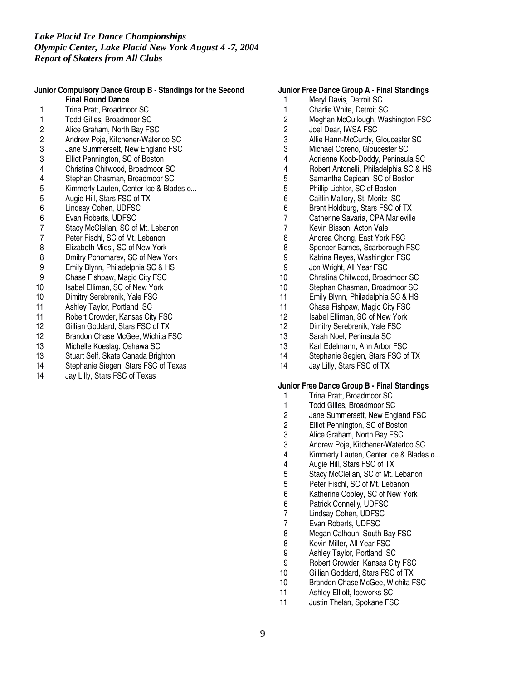### **Junior Compulsory Dance Group B - Standings for the Second Final Round Dance**

- 1 Trina Pratt, Broadmoor SC<br>1 Todd Gilles. Broadmoor SC
- 
- 1 Todd Gilles, Broadmoor SC<br>2 Alice Graham, North Bay FS
- 2 Alice Graham, North Bay FSC<br>2 Andrew Poje, Kitchener-Waterl 2 Andrew Poje, Kitchener-Waterloo SC<br>3 Jane Summersett. New England FSC
- Jane Summersett, New England FSC
- 3 Elliot Pennington, SC of Boston
- 
- 4 Christina Chitwood, Broadmoor SC
- 4 Stephan Chasman, Broadmoor SC<br>5 Kimmerly Lauten, Center Ice & Blad 5 Kimmerly Lauten, Center Ice & Blades o...<br>5 Augie Hill, Stars FSC of TX
- 5 Augie Hill, Stars FSC of TX<br>6 Lindsay Cohen, UDFSC
- 6 Lindsay Cohen, UDFSC
- 6 Evan Roberts, UDFSC
- 7 Stacy McClellan, SC of Mt. Lebanon<br>7 Peter Fischl. SC of Mt. Lebanon
- 
- 7 Peter Fischl, SC of Mt. Lebanon<br>8 Elizabeth Miosi, SC of New York
- 8 Elizabeth Miosi, SC of New York<br>8 Dmitry Ponomarev, SC of New Yo **Dmitry Ponomarev, SC of New York**
- 9 Emily Blynn, Philadelphia SC & HS
- 9 Chase Fishpaw, Magic City FSC
- 10 Isabel Elliman, SC of New York
- 
- 10 Dimitry Serebrenik, Yale FSC<br>11 Ashlev Tavlor. Portland ISC
- 11 Ashley Taylor, Portland ISC<br>11 Robert Crowder, Kansas City Robert Crowder, Kansas City FSC
- 12 Gillian Goddard, Stars FSC of TX
- 
- 12 Brandon Chase McGee, Wichita FSC<br>13 Michelle Koeslag, Oshawa SC Michelle Koeslag, Oshawa SC
- 13 Stuart Self, Skate Canada Brighton
- 14 Stephanie Siegen, Stars FSC of Texas
- 14 Jay Lilly, Stars FSC of Texas

### **Junior Free Dance Group A - Final Standings**

- 1 Meryl Davis, Detroit SC
- 1 Charlie White, Detroit SC<br>2 Meghan McCullough. Was
- Meghan McCullough, Washington FSC
- 2 Joel Dear, IWSA FSC
- 3 Allie Hann-McCurdy, Gloucester SC<br>3 Michael Coreno. Gloucester SC
- Michael Coreno, Gloucester SC
- 4 Adrienne Koob-Doddy, Peninsula SC
- 4 Robert Antonelli, Philadelphia SC & HS
- 5 Samantha Cepican, SC of Boston<br>5 Phillip Lichtor, SC of Boston
- 5 Phillip Lichtor, SC of Boston<br>6 Caitlin Mallory, St. Moritz ISC
- 6 Caitlin Mallory, St. Moritz ISC
- 6 Brent Holdburg, Stars FSC of TX<br>7 Catherine Savaria. CPA Marieville
- 7 Catherine Savaria, CPA Marieville<br>7 Kevin Bisson, Acton Vale
- Kevin Bisson, Acton Vale
- 8 Andrea Chong, East York FSC<br>8 Spencer Barnes, Scarborough
- 8 Spencer Barnes, Scarborough FSC<br>9 Katrina Reves, Washington FSC
- Katrina Reyes, Washington FSC
- 9 Jon Wright, All Year FSC
- 10 Christina Chitwood, Broadmoor SC
- 10 Stephan Chasman, Broadmoor SC
- 11 Emily Blynn, Philadelphia SC & HS<br>11 Chase Fishpaw, Magic City FSC
- 11 Chase Fishpaw, Magic City FSC<br>12 Isabel Elliman, SC of New York
- Isabel Elliman, SC of New York
- 12 Dimitry Serebrenik, Yale FSC
- 13 Sarah Noel, Peninsula SC<br>13 Karl Edelmann, Ann Arbor
- Karl Edelmann, Ann Arbor FSC
- 14 Stephanie Segien, Stars FSC of TX
- 14 Jay Lilly, Stars FSC of TX

### **Junior Free Dance Group B - Final Standings**

- 1 Trina Pratt, Broadmoor SC
- 1 Todd Gilles, Broadmoor SC<br>2 Jane Summersett. New Eng
- 2 Jane Summersett, New England FSC<br>2 Elliot Pennington, SC of Boston
- 2 Elliot Pennington, SC of Boston<br>3 Alice Graham. North Bav FSC
- 3 Alice Graham, North Bay FSC<br>3 Andrew Poie. Kitchener-Waterl
- 3 Andrew Poje, Kitchener-Waterloo SC<br>4 Kimmerly Lauten. Center Ice & Blades
- 4 Kimmerly Lauten, Center Ice & Blades o...<br>4 Augie Hill. Stars FSC of TX
- Augie Hill, Stars FSC of TX
- 5 Stacy McClellan, SC of Mt. Lebanon<br>5 Peter Fischl, SC of Mt. Lebanon
- 5 Peter Fischl, SC of Mt. Lebanon<br>6 Katherine Coplev. SC of New Yo
- Katherine Copley, SC of New York
- 6 Patrick Connelly, UDFSC<br>7 Lindsay Cohen. UDFSC
- 7 Lindsay Cohen, UDFSC<br>7 Evan Roberts, UDFSC
- Evan Roberts, UDFSC
- 8 Megan Calhoun, South Bay FSC<br>8 Kevin Miller, All Year FSC
- 8 Kevin Miller, All Year FSC<br>9 Ashley Taylor, Portland IS
- 9 Ashley Taylor, Portland ISC<br>9 Robert Crowder, Kansas Cit
- Robert Crowder, Kansas City FSC
- 10 Gillian Goddard, Stars FSC of TX
- 10 Brandon Chase McGee, Wichita FSC
- 11 Ashley Elliott, Iceworks SC
- 11 Justin Thelan, Spokane FSC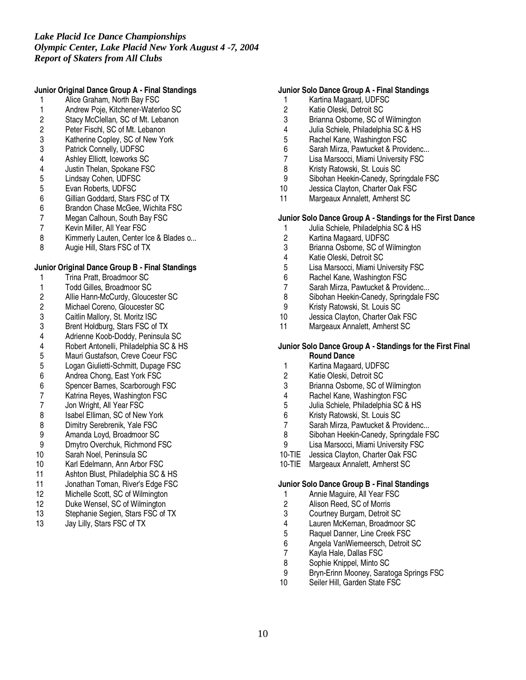# **Junior Original Dance Group A - Final Standings**

- 1 Alice Graham, North Bay FSC
- 1 Andrew Poje, Kitchener-Waterloo SC<br>2 Stacy McClellan, SC of Mt. Lebanon
- 2 Stacy McClellan, SC of Mt. Lebanon<br>2 Peter Fischl. SC of Mt. Lebanon
- 2 Peter Fischl, SC of Mt. Lebanon<br>3 Katherine Coplev. SC of New Yo
- 3 Katherine Copley, SC of New York<br>3 Patrick Connelly, UDFSC
- Patrick Connelly, UDFSC
- 4 Ashley Elliott, Iceworks SC
- 4 Justin Thelan, Spokane FSC<br>5 Lindsay Cohen, UDFSC
- 
- 5 Lindsay Cohen, UDFSC<br>5 Evan Roberts, UDFSC
- 5 Evan Roberts, UDFSC<br>6 Gillian Goddard, Stars F 6 Gillian Goddard, Stars FSC of TX
- 
- 6 Brandon Chase McGee, Wichita FSC<br>7 Megan Calhoun. South Bay FSC
- 7 Megan Calhoun, South Bay FSC<br>7 Kevin Miller. All Year FSC
- 7 Kevin Miller, All Year FSC<br>8 Kimmerly Lauten. Center Io
- 8 Kimmerly Lauten, Center Ice & Blades o...<br>8 Augie Hill, Stars FSC of TX Augie Hill, Stars FSC of TX
- 

## **Junior Original Dance Group B - Final Standings**

- 1 Trina Pratt, Broadmoor SC
- 1 Todd Gilles, Broadmoor SC<br>2 Allie Hann-McCurdy, Glouce
- 2 Allie Hann-McCurdy, Gloucester SC<br>2 Michael Coreno, Gloucester SC
- 2 Michael Coreno, Gloucester SC<br>3 Caitlin Mallory, St. Moritz ISC
- 3 Caitlin Mallory, St. Moritz ISC
- 
- 3 Brent Holdburg, Stars FSC of TX<br>4 Adrienne Koob-Doddy, Peninsula
- 4 Adrienne Koob-Doddy, Peninsula SC<br>4 Robert Antonelli. Philadelphia SC & H 4 Robert Antonelli, Philadelphia SC & HS
- 5 Mauri Gustafson, Creve Coeur FSC
- 
- 5 Logan Giulietti-Schmitt, Dupage FSC<br>6 Andrea Chong, East York FSC Andrea Chong, East York FSC
- 6 Spencer Barnes, Scarborough FSC
- 7 Katrina Reyes, Washington FSC<br>7 Jon Wright, All Year FSC
- 7 Jon Wright, All Year FSC<br>8 Isabel Elliman, SC of New
- 8 Isabel Elliman, SC of New York<br>8 Dimitry Serebrenik, Yale FSC
- 8 Dimitry Serebrenik, Yale FSC<br>9 Amanda Loyd, Broadmoor SC
- 9 Amanda Loyd, Broadmoor SC<br>9 Dmytro Overchuk, Richmond F
- 9 Dmytro Overchuk, Richmond FSC<br>10 Sarah Noel. Peninsula SC
- Sarah Noel, Peninsula SC
- 10 Karl Edelmann, Ann Arbor FSC
- 11 Ashton Blust, Philadelphia SC & HS
- 11 Jonathan Toman, River's Edge FSC
- 12 Michelle Scott, SC of Wilmington
- 12 Duke Wensel, SC of Wilmington<br>13 Stephanie Segien, Stars FSC of
- Stephanie Segien, Stars FSC of TX
- 13 Jay Lilly, Stars FSC of TX

## **Junior Solo Dance Group A - Final Standings**

- 1 Kartina Magaard, UDFSC
- 2 Katie Oleski, Detroit SC<br>3 Brianna Osborne, SC of
- Brianna Osborne, SC of Wilmington
- 4 Julia Schiele, Philadelphia SC & HS<br>5 Rachel Kane, Washington FSC
- 5 Rachel Kane, Washington FSC<br>6 Sarah Mirza, Pawtucket & Provi
- 6 Sarah Mirza, Pawtucket & Providenc...
- 7 Lisa Marsocci, Miami University FSC
- 8 Kristy Ratowski, St. Louis SC
- 9 Sibohan Heekin-Canedy, Springdale FSC<br>10 Jessica Clavton. Charter Oak FSC
- Jessica Clayton, Charter Oak FSC
- 11 Margeaux Annalett, Amherst SC

### **Junior Solo Dance Group A - Standings for the First Dance**

- 1 Julia Schiele, Philadelphia SC & HS<br>2 Kartina Magaard, UDFSC
- 2 Kartina Magaard, UDFSC<br>3 Brianna Osborne, SC of W
- 3 Brianna Osborne, SC of Wilmington<br>4 Katie Oleski, Detroit SC
- Katie Oleski, Detroit SC
- 5 Lisa Marsocci, Miami University FSC
- 6 Rachel Kane, Washington FSC
- 7 Sarah Mirza, Pawtucket & Providenc...
- 8 Sibohan Heekin-Canedy, Springdale FSC<br>9 Kristy Ratowski, St. Louis SC
- 9 Kristy Ratowski, St. Louis SC<br>10 Jessica Clavton. Charter Oak
- Jessica Clayton, Charter Oak FSC
- 11 Margeaux Annalett, Amherst SC

### **Junior Solo Dance Group A - Standings for the First Final Round Dance**

- 1 Kartina Magaard, UDFSC<br>2 Katie Oleski, Detroit SC
- Katie Oleski, Detroit SC
- 3 Brianna Osborne, SC of Wilmington
- 4 Rachel Kane, Washington FSC
- 5 Julia Schiele, Philadelphia SC & HS<br>6 Kristy Ratowski, St. Louis SC
- 6 Kristy Ratowski, St. Louis SC
- 7 Sarah Mirza, Pawtucket & Providenc...<br>8 Sibohan Heekin-Canedy, Springdale F
- 8 Sibohan Heekin-Canedy, Springdale FSC<br>9 Lisa Marsocci. Miami University FSC
- Lisa Marsocci, Miami University FSC
- 10-TIE Jessica Clayton, Charter Oak FSC
- 10-TIE Margeaux Annalett, Amherst SC

### **Junior Solo Dance Group B - Final Standings**

- 1 Annie Maguire, All Year FSC
- 2 Alison Reed, SC of Morris<br>3 Courtney Burgam, Detroit
- 3 Courtney Burgam, Detroit SC
- 4 Lauren McKernan, Broadmoor SC<br>5 Raquel Danner. Line Creek FSC
- 
- 5 Raquel Danner, Line Creek FSC<br>6 Angela VanWiemeersch, Detroit 9 6 Angela VanWiemeersch, Detroit SC
- 
- 7 Kayla Hale, Dallas FSC<br>8 Sophie Knippel, Minto S
- 8 Sophie Knippel, Minto SC<br>9 Brvn-Erinn Moonev, Sarate 9 Bryn-Erinn Mooney, Saratoga Springs FSC<br>10 Seiler Hill. Garden State FSC
- Seiler Hill, Garden State FSC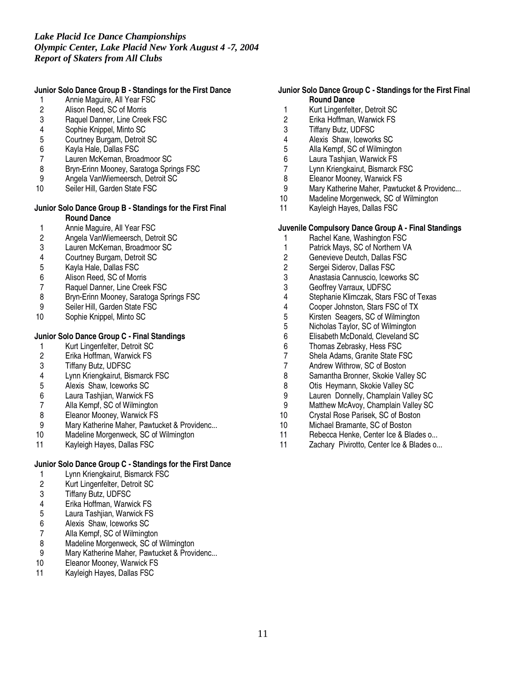# **Junior Solo Dance Group B - Standings for the First Dance**

- 1 Annie Maguire, All Year FSC
- 2 Alison Reed, SC of Morris<br>3 Raquel Danner, Line Creek
- 3 Raquel Danner, Line Creek FSC<br>4 Sophie Knippel, Minto SC
- 4 Sophie Knippel, Minto SC<br>5 Courtney Burgam, Detroit
- 5 Courtney Burgam, Detroit SC<br>6 Kayla Hale, Dallas FSC
- Kayla Hale, Dallas FSC
- 7 Lauren McKernan, Broadmoor SC
- 8 Bryn-Erinn Mooney, Saratoga Springs FSC<br>9 Angela VanWiemeersch. Detroit SC
- 9 Angela VanWiemeersch, Detroit SC<br>10 Seiler Hill, Garden State FSC
- Seiler Hill, Garden State FSC

## **Junior Solo Dance Group B - Standings for the First Final Round Dance**

- 1 Annie Maguire, All Year FSC<br>2 Angela VanWiemeersch, Detr
- 2 Angela VanWiemeersch, Detroit SC<br>3 Lauren McKernan, Broadmoor SC
- 3 Lauren McKernan, Broadmoor SC
- 4 Courtney Burgam, Detroit SC<br>5 Kavla Hale, Dallas FSC
- 5 Kayla Hale, Dallas FSC
- 
- 6 Alison Reed, SC of Morris
- 7 Raquel Danner, Line Creek FSC<br>8 Brvn-Erinn Moonev. Saratoga Sp 8 Bryn-Erinn Mooney, Saratoga Springs FSC<br>9 Seiler Hill. Garden State FSC
- 9 Seiler Hill, Garden State FSC<br>10 Sophie Knippel, Minto SC
- Sophie Knippel, Minto SC

# **Junior Solo Dance Group C - Final Standings**

- 1 Kurt Lingenfelter, Detroit SC<br>2 Erika Hoffman, Warwick FS
- 2 Erika Hoffman, Warwick FS<br>3 Tiffany Butz, UDFSC
- 3 Tiffany Butz, UDFSC<br>4 Lynn Kriengkairut, Bis
- 4 Lynn Kriengkairut, Bismarck FSC<br>5 Alexis Shaw, Iceworks SC
- 5 Alexis Shaw, Iceworks SC
- 6 Laura Tashjian, Warwick FS
- 7 Alla Kempf, SC of Wilmington<br>8 Eleanor Moonev. Warwick FS
- 8 Eleanor Mooney, Warwick FS<br>9 Mary Katherine Maher, Pawtud
- Mary Katherine Maher, Pawtucket & Providenc...
- 10 Madeline Morgenweck, SC of Wilmington<br>11 Kavleigh Haves, Dallas FSC
- Kayleigh Hayes, Dallas FSC

## **Junior Solo Dance Group C - Standings for the First Dance**

- 1 Lynn Kriengkairut, Bismarck FSC<br>2 Kurt Lingenfelter, Detroit SC
- 2 Kurt Lingenfelter, Detroit SC<br>3 Tiffany Butz, UDFSC
- Tiffany Butz, UDFSC
- 4 Erika Hoffman, Warwick FS
- 5 Laura Tashjian, Warwick FS<br>6 Alexis Shaw, Iceworks SC
- 6 Alexis Shaw, Iceworks SC
- 7 Alla Kempf, SC of Wilmington<br>8 Madeline Morgenweck, SC of
- 8 Madeline Morgenweck, SC of Wilmington<br>9 Mary Katherine Maher, Pawtucket & Provi
- 9 Mary Katherine Maher, Pawtucket & Providenc...<br>10 Eleanor Moonev. Warwick FS
- Eleanor Mooney, Warwick FS
- 11 Kayleigh Hayes, Dallas FSC

## **Junior Solo Dance Group C - Standings for the First Final Round Dance**

- 1 Kurt Lingenfelter, Detroit SC<br>2 Erika Hoffman. Warwick FS
- 2 Erika Hoffman, Warwick FS
- 3 Tiffany Butz, UDFSC
- 4 Alexis Shaw, Iceworks SC<br>5 Alla Kempf, SC of Wilmingt
- Alla Kempf, SC of Wilmington
- 6 Laura Tashjian, Warwick FS
- 7 Lynn Kriengkairut, Bismarck FSC
- 8 Eleanor Mooney, Warwick FS<br>9 Mary Katherine Maher. Pawtud
- 9 Mary Katherine Maher, Pawtucket & Providenc...<br>10 Madeline Morgenweck, SC of Wilmington
- Madeline Morgenweck, SC of Wilmington
- 11 Kayleigh Hayes, Dallas FSC

### **Juvenile Compulsory Dance Group A - Final Standings**

- 1 Rachel Kane, Washington FSC<br>1 Patrick Mays, SC of Northern VA 1 Patrick Mays, SC of Northern VA<br>2 Genevieve Deutch, Dallas FSC 2 Genevieve Deutch, Dallas FSC<br>2 Sergei Siderov, Dallas FSC 2 Sergei Siderov, Dallas FSC<br>3 Anastasia Cannuscio, Icewo 3 Anastasia Cannuscio, Iceworks SC Geoffrey Varraux, UDFSC 4 Stephanie Klimczak, Stars FSC of Texas<br>4 Cooper Johnston, Stars FSC of TX 4 Cooper Johnston, Stars FSC of TX<br>5 Kirsten Seagers, SC of Wilmington 5 Kirsten Seagers, SC of Wilmington<br>5 Nicholas Taylor, SC of Wilmington 5 Nicholas Taylor, SC of Wilmington<br>6 Elisabeth McDonald, Cleveland SC 6 Elisabeth McDonald, Cleveland SC<br>6 Thomas Zebrasky. Hess FSC 6 Thomas Zebrasky, Hess FSC<br>7 Shela Adams. Granite State F 7 Shela Adams, Granite State FSC<br>7 Andrew Withrow. SC of Boston 7 Andrew Withrow, SC of Boston<br>8 Samantha Bronner, Skokie Vall 8 Samantha Bronner, Skokie Valley SC 8 Otis Heymann, Skokie Valley SC 9 Lauren Donnelly, Champlain Valley SC<br>9 Matthew McAvov. Champlain Valley SC 9 Matthew McAvoy, Champlain Valley SC<br>10 Crystal Rose Parisek. SC of Boston 10 Crystal Rose Parisek, SC of Boston<br>10 Michael Bramante. SC of Boston
- Michael Bramante, SC of Boston
- 11 Rebecca Henke, Center Ice & Blades o...<br>11 Zachary Pivirotto. Center Ice & Blades o..
- Zachary Pivirotto, Center Ice & Blades o...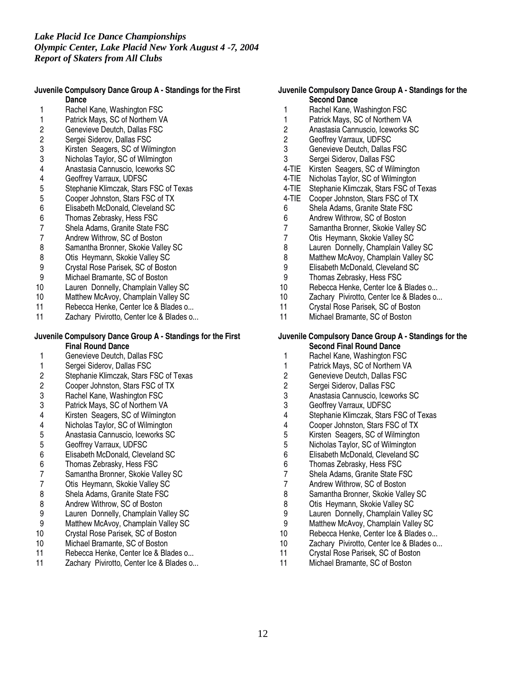### **Juvenile Compulsory Dance Group A - Standings for the First Dance**

- 1 Rachel Kane, Washington FSC<br>1 Patrick Mays. SC of Northern V
- 1 Patrick Mays, SC of Northern VA<br>2 Genevieve Deutch. Dallas FSC
- 2 Genevieve Deutch, Dallas FSC<br>2 Sergei Siderov, Dallas FSC
- 2 Sergei Siderov, Dallas FSC<br>3 Kirsten Seagers, SC of Wiln
- Kirsten Seagers, SC of Wilmington
- 3 Nicholas Taylor, SC of Wilmington
- 4 Anastasia Cannuscio, Iceworks SC<br>4 Geoffrey Varraux, UDFSC
- 
- 4 Geoffrey Varraux, UDFSC<br>5 Stephanie Klimczak, Stars 5 Stephanie Klimczak, Stars FSC of Texas<br>5 Cooper Johnston, Stars FSC of TX
- 
- 5 Cooper Johnston, Stars FSC of TX<br>6 Elisabeth McDonald, Cleveland SC 6 Elisabeth McDonald, Cleveland SC<br>6 Thomas Zebrasky, Hess FSC
- 
- 6 Thomas Zebrasky, Hess FSC<br>7 Shela Adams. Granite State F
- 7 Shela Adams, Granite State FSC<br>7 Andrew Withrow. SC of Boston
- 7 Andrew Withrow, SC of Boston<br>8 Samantha Bronner, Skokie Valle
- 8 Samantha Bronner, Skokie Valley SC<br>8 Otis Heymann, Skokie Valley SC Otis Heymann, Skokie Valley SC
- 9 Crystal Rose Parisek, SC of Boston
- 9 Michael Bramante, SC of Boston
- 10 Lauren Donnelly, Champlain Valley SC
- 
- 10 Matthew McAvoy, Champlain Valley SC<br>11 Rebecca Henke. Center Ice & Blades o...
- 11 Rebecca Henke, Center Ice & Blades o...<br>11 Zachary Pivirotto. Center Ice & Blades o.. Zachary Pivirotto, Center Ice & Blades o...

### **Juvenile Compulsory Dance Group A - Standings for the First Final Round Dance**

- 1 Genevieve Deutch, Dallas FSC
- 1 Sergei Siderov, Dallas FSC<br>2 Stephanie Klimczak. Stars F
- Stephanie Klimczak, Stars FSC of Texas
- 2 Cooper Johnston, Stars FSC of TX
- 3 Rachel Kane, Washington FSC
- 3 Patrick Mays, SC of Northern VA<br>4 Kirsten Seagers, SC of Wilmingto
- 4 Kirsten Seagers, SC of Wilmington<br>4 Nicholas Taylor, SC of Wilmington
- 
- 4 Nicholas Taylor, SC of Wilmington<br>5 Anastasia Cannuscio, Iceworks SC 5 Anastasia Cannuscio, Iceworks SC<br>5 Geoffrey Varraux, UDFSC
- 
- 5 Geoffrey Varraux, UDFSC<br>6 Elisabeth McDonald, Cleve 6 Elisabeth McDonald, Cleveland SC
- 6 Thomas Zebrasky, Hess FSC
- 
- 7 Samantha Bronner, Skokie Valley SC<br>7 Otis Heymann, Skokie Valley SC Otis Heymann, Skokie Valley SC
- 8 Shela Adams, Granite State FSC
- 8 Andrew Withrow, SC of Boston<br>9 Lauren Donnelly, Champlain Va
- 9 Lauren Donnelly, Champlain Valley SC<br>9 Matthew McAvoy, Champlain Valley SC
- 9 Matthew McAvoy, Champlain Valley SC<br>10 Crystal Rose Parisek, SC of Boston
- 10 Crystal Rose Parisek, SC of Boston<br>10 Michael Bramante, SC of Boston
- Michael Bramante, SC of Boston
- 11 Rebecca Henke, Center Ice & Blades o...
- 11 Zachary Pivirotto, Center Ice & Blades o...

## **Juvenile Compulsory Dance Group A - Standings for the Second Dance**

- 1 Rachel Kane, Washington FSC<br>1 Patrick Mays. SC of Northern VA
- 1 Patrick Mays, SC of Northern VA<br>2 Anastasia Cannuscio, Iceworks S
- 2 Anastasia Cannuscio, Iceworks SC
- 2 Geoffrey Varraux, UDFSC<br>3 Genevieve Deutch, Dallas
- Genevieve Deutch, Dallas FSC
- 3 Sergei Siderov, Dallas FSC
- 4-TIE Kirsten Seagers, SC of Wilmington
- 4-TIE Nicholas Taylor, SC of Wilmington<br>4-TIE Stephanie Klimczak, Stars FSC of
- 4-TIE Stephanie Klimczak, Stars FSC of Texas<br>4-TIE Cooper Johnston, Stars FSC of TX
- Cooper Johnston, Stars FSC of TX
- 6 Shela Adams, Granite State FSC
- 
- 6 Andrew Withrow, SC of Boston
- 7 Samantha Bronner, Skokie Valley SC<br>7 Otis Hevmann, Skokie Vallev SC
- 7 Otis Heymann, Skokie Valley SC<br>8 Lauren Donnelly, Champlain Valle
- 8 Lauren Donnelly, Champlain Valley SC<br>8 Matthew McAvoy, Champlain Valley SC Matthew McAvoy, Champlain Valley SC
- 9 Elisabeth McDonald, Cleveland SC
- 9 Thomas Zebrasky, Hess FSC
- 
- 10 Rebecca Henke, Center Ice & Blades o...
- 10 Zachary Pivirotto, Center Ice & Blades o...<br>11 Crystal Rose Parisek, SC of Boston
- 11 Crystal Rose Parisek, SC of Boston<br>11 Michael Bramante. SC of Boston
- Michael Bramante, SC of Boston

### **Juvenile Compulsory Dance Group A - Standings for the Second Final Round Dance**

- 1 Rachel Kane, Washington FSC
- 1 Patrick Mays, SC of Northern VA<br>2 Genevieve Deutch. Dallas FSC
- Genevieve Deutch, Dallas FSC
- 2 Sergei Siderov, Dallas FSC
- 3 Anastasia Cannuscio, Iceworks SC<br>3 Geoffrev Varraux. UDFSC
- 3 Geoffrey Varraux, UDFSC
- 4 Stephanie Klimczak, Stars FSC of Texas<br>4 Cooper Johnston, Stars FSC of TX
- 4 Cooper Johnston, Stars FSC of TX<br>5 Kirsten Seagers, SC of Wilmington
- 5 Kirsten Seagers, SC of Wilmington<br>5 Nicholas Taylor, SC of Wilmington
- 5 Nicholas Taylor, SC of Wilmington<br>6 Elisabeth McDonald. Cleveland SC
- 6 Elisabeth McDonald, Cleveland SC
- 6 Thomas Zebrasky, Hess FSC
- 7 Shela Adams, Granite State FSC<br>7 Andrew Withrow, SC of Boston
- Andrew Withrow, SC of Boston
- 8 Samantha Bronner, Skokie Valley SC
- 8 Otis Heymann, Skokie Valley SC<br>9 Lauren Donnelly Champlain Valle
- 9 Lauren Donnelly, Champlain Valley SC<br>9 Matthew McAvoy, Champlain Valley SC
- Matthew McAvoy, Champlain Valley SC
- 10 Rebecca Henke, Center Ice & Blades o...<br>10 Zacharv Pivirotto. Center Ice & Blades o..
- Zachary Pivirotto, Center Ice & Blades o...
- 11 Crystal Rose Parisek, SC of Boston
- 11 Michael Bramante, SC of Boston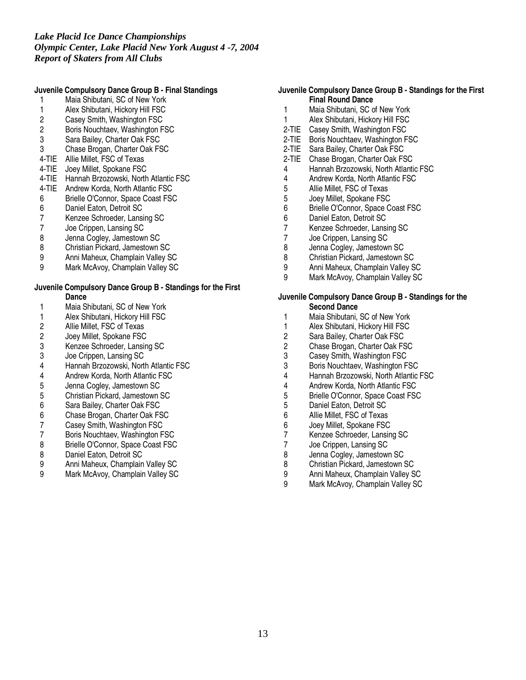# **Juvenile Compulsory Dance Group B - Final Standings**

- 1 Maia Shibutani, SC of New York
- 1 Alex Shibutani, Hickory Hill FSC<br>2 Casev Smith. Washington FSC
- 2 Casey Smith, Washington FSC<br>2 Boris Nouchtaev. Washington FS
- 2 Boris Nouchtaev, Washington FSC
- 3 Sara Bailey, Charter Oak FSC<br>3 Chase Brogan, Charter Oak FS
- Chase Brogan, Charter Oak FSC
- 4-TIE Allie Millet, FSC of Texas
- 4-TIE Joey Millet, Spokane FSC
- 4-TIE Hannah Brzozowski, North Atlantic FSC
- 4-TIE Andrew Korda, North Atlantic FSC
- 6 Brielle O'Connor, Space Coast FSC
- 
- 6 Daniel Eaton, Detroit SC 7 Kenzee Schroeder, Lansing SC<br>7 Joe Crippen, Lansing SC
- 
- 7 Joe Crippen, Lansing SC<br>8 Jenna Coglev, Jamestowr
- 8 Jenna Cogley, Jamestown SC<br>8 Christian Pickard, Jamestown 8 Christian Pickard, Jamestown SC
- 9 Anni Maheux, Champlain Valley SC
- 9 Mark McAvoy, Champlain Valley SC

### **Juvenile Compulsory Dance Group B - Standings for the First Dance**

- 1 Maia Shibutani, SC of New York<br>1 Alex Shibutani, Hickory Hill FSC
- 1 Alex Shibutani, Hickory Hill FSC<br>2 Allie Millet, FSC of Texas
- 
- 2 Allie Millet, FSC of Texas<br>2 Joey Millet, Spokane FSC 2 Joey Millet, Spokane FSC<br>3 Kenzee Schroeder, Lansin
- 3 Kenzee Schroeder, Lansing SC<br>3 Joe Crippen, Lansing SC
- Joe Crippen, Lansing SC
- 4 Hannah Brzozowski, North Atlantic FSC
- Andrew Korda, North Atlantic FSC
- 5 Jenna Cogley, Jamestown SC
- 5 Christian Pickard, Jamestown SC
- 6 Sara Bailey, Charter Oak FSC
- 6 Chase Brogan, Charter Oak FSC
- 7 Casey Smith, Washington FSC<br>7 Boris Nouchtaev, Washington F
- 7 Boris Nouchtaev, Washington FSC<br>8 Brielle O'Connor, Space Coast FSC
- 8 Brielle O'Connor, Space Coast FSC<br>8 Daniel Eaton, Detroit SC
- Daniel Eaton, Detroit SC
- 9 Anni Maheux, Champlain Valley SC
- 9 Mark McAvoy, Champlain Valley SC

# **Juvenile Compulsory Dance Group B - Standings for the First Final Round Dance**

- 1 Maia Shibutani, SC of New York<br>1 Alex Shibutani. Hickory Hill FSC
- Alex Shibutani, Hickory Hill FSC
- 2-TIE Casey Smith, Washington FSC
- 2-TIE Boris Nouchtaev, Washington FSC<br>2-TIE Sara Bailey, Charter Oak FSC
- Sara Bailey, Charter Oak FSC
- 2-TIE Chase Brogan, Charter Oak FSC
- 4 Hannah Brzozowski, North Atlantic FSC
- 4 Andrew Korda, North Atlantic FSC<br>5 Allie Millet, FSC of Texas
- 5 Allie Millet, FSC of Texas<br>5 Joey Millet, Spokane FSC
- 5 Joey Millet, Spokane FSC<br>6 Brielle O'Connor, Space C
- 6 Brielle O'Connor, Space Coast FSC<br>6 Daniel Eaton. Detroit SC
- 6 Daniel Eaton, Detroit SC
- 7 Kenzee Schroeder, Lansing SC<br>7 Joe Crippen, Lansing SC
- 7 Joe Crippen, Lansing SC<br>8 Jenna Cogley, Jamestown
- 8 Jenna Cogley, Jamestown SC<br>8 Christian Pickard, Jamestown 9
- 8 Christian Pickard, Jamestown SC
- 9 Anni Maheux, Champlain Valley SC
- 9 Mark McAvoy, Champlain Valley SC

### **Juvenile Compulsory Dance Group B - Standings for the Second Dance**

- 1 Maia Shibutani, SC of New York
- 1 Alex Shibutani, Hickory Hill FSC
- 
- 2 Sara Bailey, Charter Oak FSC<br>2 Chase Brogan, Charter Oak FS 2 Chase Brogan, Charter Oak FSC<br>3 Casev Smith. Washington FSC
- Casev Smith, Washington FSC
- 3 Boris Nouchtaev, Washington FSC
- 4 Hannah Brzozowski, North Atlantic FSC
- 4 Andrew Korda, North Atlantic FSC
- 5 Brielle O'Connor, Space Coast FSC<br>5 Daniel Eaton, Detroit SC
- 5 Daniel Eaton, Detroit SC<br>6 Allie Millet. FSC of Texas
- 6 Allie Millet, FSC of Texas
- 6 Joey Millet, Spokane FSC
- 7 Kenzee Schroeder, Lansing SC<br>7 Joe Crippen. Lansing SC
- 7 Joe Crippen, Lansing SC<br>8 Jenna Coglev, Jamestowi
- Jenna Cogley, Jamestown SC
- 8 Christian Pickard, Jamestown SC
- 9 Anni Maheux, Champlain Valley SC<br>9 Mark McAvov. Champlain Valley SC
- Mark McAvoy, Champlain Valley SC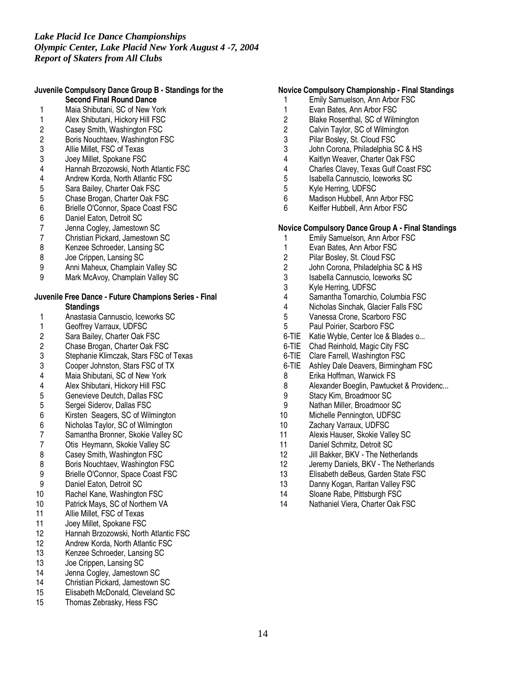# **Juvenile Compulsory Dance Group B - Standings for the**

**Second Final Round Dance**

- 1 Maia Shibutani, SC of New York<br>1 Alex Shibutani, Hickory Hill FSC
- 1 Alex Shibutani, Hickory Hill FSC<br>2 Casey Smith, Washington FSC
- 2 Casey Smith, Washington FSC<br>2 Boris Nouchtaev, Washington F
- 2 Boris Nouchtaev, Washington FSC<br>3 Allie Millet. FSC of Texas
- Allie Millet, FSC of Texas
- 3 Joey Millet, Spokane FSC
- 4 Hannah Brzozowski, North Atlantic FSC<br>4 Andrew Korda, North Atlantic FSC
- 4 Andrew Korda, North Atlantic FSC<br>5 Sara Bailey, Charter Oak FSC
- 5 Sara Bailey, Charter Oak FSC<br>5 Chase Brogan, Charter Oak FS
- 5 Chase Brogan, Charter Oak FSC<br>6 Brielle O'Connor, Space Coast FS
- 6 Brielle O'Connor, Space Coast FSC<br>6 Daniel Eaton, Detroit SC
- 6 Daniel Eaton, Detroit SC
- 7 Jenna Cogley, Jamestown SC<br>7 Christian Pickard, Jamestown
- 7 Christian Pickard, Jamestown SC<br>8 Kenzee Schroeder. Lansing SC
- 8 Kenzee Schroeder, Lansing SC<br>8 Joe Crippen, Lansing SC
- Joe Crippen, Lansing SC
- 9 Anni Maheux, Champlain Valley SC
- 9 Mark McAvoy, Champlain Valley SC

### **Juvenile Free Dance - Future Champions Series - Final Standings**

- 1 Anastasia Cannuscio, Iceworks SC
- 1 Geoffrey Varraux, UDFSC<br>2 Sara Bailey, Charter Oak F
- 2 Sara Bailey, Charter Oak FSC<br>2 Chase Brogan, Charter Oak FS
- 2 Chase Brogan, Charter Oak FSC<br>3 Stephanie Klimczak, Stars FSC o
- Stephanie Klimczak, Stars FSC of Texas
- 3 Cooper Johnston, Stars FSC of TX
- 4 Maia Shibutani, SC of New York
- 4 Alex Shibutani, Hickory Hill FSC
- 5 Genevieve Deutch, Dallas FSC
- 
- 5 Sergei Siderov, Dallas FSC<br>6 Kirsten Seagers, SC of Wilr 6 Kirsten Seagers, SC of Wilmington
- 6 Nicholas Taylor, SC of Wilmington
- 7 Samantha Bronner, Skokie Valley SC<br>7 Otis Hevmann, Skokie Valley SC
- 7 Otis Heymann, Skokie Valley SC<br>8 Casev Smith. Washington FSC
- 8 Casey Smith, Washington FSC<br>8 Boris Nouchtaev. Washington F
- 8 Boris Nouchtaev, Washington FSC
- 9 Brielle O'Connor, Space Coast FSC<br>9 Daniel Eaton, Detroit SC
- Daniel Eaton, Detroit SC
- 10 Rachel Kane, Washington FSC
- 10 Patrick Mays, SC of Northern VA<br>11 Allie Millet. FSC of Texas
- Allie Millet, FSC of Texas
- 11 Joey Millet, Spokane FSC
- 12 Hannah Brzozowski, North Atlantic FSC<br>12 Andrew Korda, North Atlantic FSC
- Andrew Korda, North Atlantic FSC
- 13 Kenzee Schroeder, Lansing SC
- 13 Joe Crippen, Lansing SC
- 14 Jenna Cogley, Jamestown SC<br>14 Christian Pickard, Jamestown
- 14 Christian Pickard, Jamestown SC
- 15 Elisabeth McDonald, Cleveland SC
- 15 Thomas Zebrasky, Hess FSC

# **Novice Compulsory Championship - Final Standings**

- 1 Emily Samuelson, Ann Arbor FSC
- 1 Evan Bates, Ann Arbor FSC<br>2 Blake Rosenthal. SC of Wilm
- 2 Blake Rosenthal, SC of Wilmington
- 2 Calvin Taylor, SC of Wilmington
- 3 Pilar Bosley, St. Cloud FSC<br>3 John Corona. Philadelphia S
- John Corona, Philadelphia SC & HS
- 4 Kaitlyn Weaver, Charter Oak FSC
- 4 Charles Clavey, Texas Gulf Coast FSC
- 5 Isabella Cannuscio, Iceworks SC<br>5 Kyle Herring, UDFSC
- 5 Kyle Herring, UDFSC<br>6 Madison Hubbell, Ann
- Madison Hubbell, Ann Arbor FSC
- 6 Keiffer Hubbell, Ann Arbor FSC

### **Novice Compulsory Dance Group A - Final Standings**

- 1 Emily Samuelson, Ann Arbor FSC<br>1 Evan Bates, Ann Arbor FSC
- 1 Evan Bates, Ann Arbor FSC<br>2 Pilar Bosley, St. Cloud FSC
- 
- 2 Pilar Bosley, St. Cloud FSC<br>2 John Corona. Philadelphia S
- 2 John Corona, Philadelphia SC & HS<br>3 Isabella Cannuscio, Iceworks SC 3 Isabella Cannuscio, Iceworks SC<br>3 Kyle Herring, UDFSC
- Kyle Herring, UDFSC
- 
- 4 Samantha Tomarchio, Columbia FSC<br>4 Nicholas Sinchak. Glacier Falls FSC
- 4 Nicholas Sinchak, Glacier Falls FSC<br>5 Vanessa Crone, Scarboro FSC 5 Vanessa Crone, Scarboro FSC
- 5 Paul Poirier, Scarboro FSC
- 6-TIE Katie Wyble, Center Ice & Blades o...
- 6-TIE Chad Reinhold, Magic City FSC
- 6-TIE Clare Farrell, Washington FSC
- 6-TIE Ashley Dale Deavers, Birmingham FSC
- 8 Erika Hoffman, Warwick FS
- 8 Alexander Boeglin, Pawtucket & Providenc...
- 9 Stacy Kim, Broadmoor SC
- 9 Nathan Miller, Broadmoor SC<br>10 Michelle Pennington, UDFSC
- 10 Michelle Pennington, UDFSC<br>10 Zachary Varraux, UDFSC
- Zachary Varraux, UDFSC
- 11 Alexis Hauser, Skokie Valley SC<br>11 Daniel Schmitz, Detroit SC
- Daniel Schmitz, Detroit SC
- 12 Jill Bakker, BKV The Netherlands
- 12 Jeremy Daniels, BKV The Netherlands
- 13 Elisabeth deBeus, Garden State FSC
- 13 Danny Kogan, Raritan Valley FSC
- 14 Sloane Rabe, Pittsburgh FSC
- 14 Nathaniel Viera, Charter Oak FSC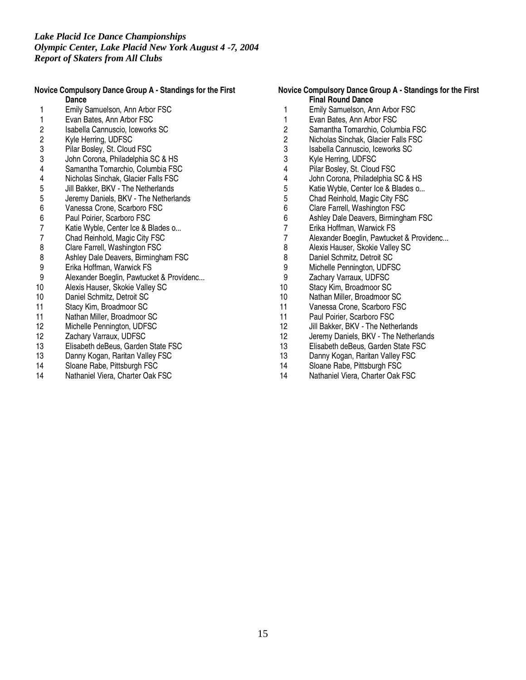### **Novice Compulsory Dance Group A - Standings for the First**

**Dance**

- 1 Emily Samuelson, Ann Arbor FSC<br>1 Evan Bates, Ann Arbor FSC
- 1 Evan Bates, Ann Arbor FSC<br>2 Isabella Cannuscio, Iceworks
- 2 Isabella Cannuscio, Iceworks SC<br>2 Kyle Herring, UDFSC
- 2 Kyle Herring, UDFSC<br>3 Pilar Boslev, St. Cloud
- Pilar Bosley, St. Cloud FSC
- 3 John Corona, Philadelphia SC & HS
- 4 Samantha Tomarchio, Columbia FSC
- 
- 4 Nicholas Sinchak, Glacier Falls FSC<br>5 Jill Bakker, BKV The Netherlands
- 5 Jill Bakker, BKV The Netherlands<br>5 Jeremy Daniels, BKV The Netherla 5 Jeremy Daniels, BKV - The Netherlands<br>6 Vanessa Crone, Scarboro FSC
- 6 Vanessa Crone, Scarboro FSC<br>6 Paul Poirier, Scarboro FSC
- 6 Paul Poirier, Scarboro FSC<br>7 Katie Wyble, Center Ice & B
- 7 Katie Wyble, Center Ice & Blades o...<br>7 Chad Reinhold, Magic City FSC
- 7 Chad Reinhold, Magic City FSC<br>8 Clare Farrell, Washington FSC
- 
- 8 Clare Farrell, Washington FSC<br>8 Ashley Dale Deavers, Birmingha Ashley Dale Deavers, Birmingham FSC
- 9 Erika Hoffman, Warwick FS
- 9 Alexander Boeglin, Pawtucket & Providenc...
- 10 Alexis Hauser, Skokie Valley SC
- 10 Daniel Schmitz, Detroit SC<br>11 Stacy Kim. Broadmoor SC
- 11 Stacy Kim, Broadmoor SC<br>11 Nathan Miller, Broadmoor S
- Nathan Miller, Broadmoor SC
- 12 Michelle Pennington, UDFSC<br>12 Zachary Varraux, UDFSC
- 
- 12 Zachary Varraux, UDFSC<br>13 Elisabeth deBeus. Garden 13 Elisabeth deBeus, Garden State FSC<br>13 Danny Kogan, Raritan Valley FSC
- Danny Kogan, Raritan Valley FSC
- 14 Sloane Rabe, Pittsburgh FSC
- 14 Nathaniel Viera, Charter Oak FSC

## **Novice Compulsory Dance Group A - Standings for the First Final Round Dance**

- 1 Emily Samuelson, Ann Arbor FSC<br>1 Evan Bates, Ann Arbor FSC 1 Evan Bates, Ann Arbor FSC<br>2 Samantha Tomarchio, Colum 2 Samantha Tomarchio, Columbia FSC 2 Nicholas Sinchak, Glacier Falls FSC<br>3 Isabella Cannuscio. Iceworks SC Isabella Cannuscio, Iceworks SC 3 Kyle Herring, UDFSC 4 Pilar Bosley, St. Cloud FSC 4 John Corona, Philadelphia SC & HS<br>5 Katie Wyble, Center Ice & Blades o... 5 Katie Wyble, Center Ice & Blades o...<br>5 Chad Reinhold, Magic City FSC 5 Chad Reinhold, Magic City FSC<br>6 Clare Farrell, Washington FSC 6 Clare Farrell, Washington FSC<br>6 Ashley Dale Deavers. Birmingha 6 Ashley Dale Deavers, Birmingham FSC<br>7 Erika Hoffman. Warwick FS 7 Erika Hoffman, Warwick FS<br>7 Alexander Boeglin, Pawtuck 7 Alexander Boeglin, Pawtucket & Providenc...<br>8 Alexis Hauser, Skokie Valley SC 8 Alexis Hauser, Skokie Valley SC 8 Daniel Schmitz, Detroit SC 9 Michelle Pennington, UDFSC 9 Zachary Varraux, UDFSC 10 Stacy Kim, Broadmoor SC 10 Nathan Miller, Broadmoor SC<br>11 Vanessa Crone, Scarboro FS 11 Vanessa Crone, Scarboro FSC<br>11 Paul Poirier. Scarboro FSC Paul Poirier, Scarboro FSC 12 Jill Bakker, BKV - The Netherlands 12 Jeremy Daniels, BKV - The Netherlands<br>13 Elisabeth deBeus. Garden State FSC Elisabeth deBeus, Garden State FSC 13 Danny Kogan, Raritan Valley FSC
- 14 Sloane Rabe, Pittsburgh FSC
- 14 Nathaniel Viera, Charter Oak FSC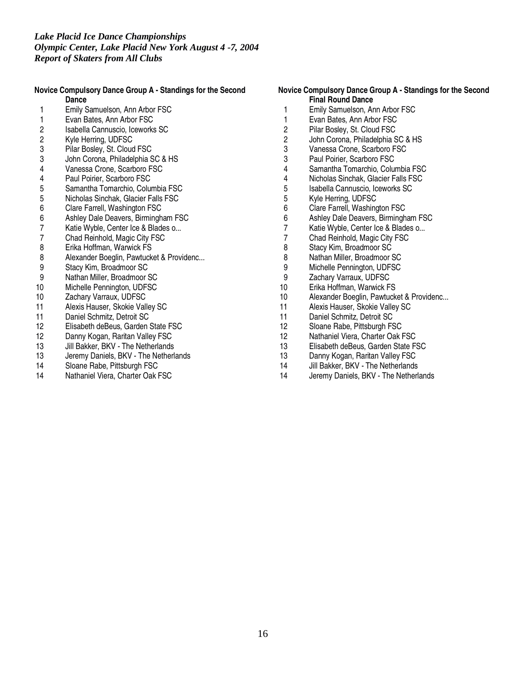### **Novice Compulsory Dance Group A - Standings for the Second**

**Dance**

- 1 Emily Samuelson, Ann Arbor FSC<br>1 Evan Bates, Ann Arbor FSC
- 1 Evan Bates, Ann Arbor FSC<br>2 Isabella Cannuscio, Iceworks
- 2 Isabella Cannuscio, Iceworks SC<br>2 Kyle Herring, UDFSC
- 2 Kyle Herring, UDFSC<br>3 Pilar Boslev, St. Cloud
- Pilar Bosley, St. Cloud FSC
- 3 John Corona, Philadelphia SC & HS
- 4 Vanessa Crone, Scarboro FSC<br>4 Paul Poirier, Scarboro FSC
- 4 Paul Poirier, Scarboro FSC<br>5 Samantha Tomarchio, Colu
- 5 Samantha Tomarchio, Columbia FSC<br>5 Nicholas Sinchak, Glacier Falls FSC
- 5 Nicholas Sinchak, Glacier Falls FSC<br>6 Clare Farrell, Washington FSC
- 6 Clare Farrell, Washington FSC
- 6 Ashley Dale Deavers, Birmingham FSC
- 7 Katie Wyble, Center Ice & Blades o...<br>7 Chad Reinhold, Magic City FSC
- 7 Chad Reinhold, Magic City FSC<br>8 Erika Hoffman, Warwick FS
- 8 Erika Hoffman, Warwick FS<br>8 Alexander Boeglin, Pawtuck
- 8 Alexander Boeglin, Pawtucket & Providenc...
- 9 Stacy Kim, Broadmoor SC
- 9 Nathan Miller, Broadmoor SC
- 10 Michelle Pennington, UDFSC
- 10 Zachary Varraux, UDFSC<br>11 Alexis Hauser. Skokie Vall
- 11 Alexis Hauser, Skokie Valley SC<br>11 Daniel Schmitz, Detroit SC
- Daniel Schmitz, Detroit SC
- 12 Elisabeth deBeus, Garden State FSC<br>12 Danny Kogan, Raritan Valley FSC
- 12 Danny Kogan, Raritan Valley FSC<br>13 Jill Bakker, BKV The Netherlands
- 13 Jill Bakker, BKV The Netherlands<br>13 Jeremy Daniels, BKV The Netherlands
- Jeremy Daniels, BKV The Netherlands
- 14 Sloane Rabe, Pittsburgh FSC
- 14 Nathaniel Viera, Charter Oak FSC

## **Novice Compulsory Dance Group A - Standings for the Second Final Round Dance**

- 1 Emily Samuelson, Ann Arbor FSC<br>1 Evan Bates, Ann Arbor FSC 1 Evan Bates, Ann Arbor FSC<br>2 Pilar Boslev, St. Cloud FSC 2 Pilar Bosley, St. Cloud FSC<br>2 John Corona. Philadelphia S 2 John Corona, Philadelphia SC & HS<br>3 Vanessa Crone, Scarboro FSC Vanessa Crone, Scarboro FSC 3 Paul Poirier, Scarboro FSC 4 Samantha Tomarchio, Columbia FSC 4 Nicholas Sinchak, Glacier Falls FSC<br>5 Isabella Cannuscio, Iceworks SC 5 Isabella Cannuscio, Iceworks SC<br>5 Kyle Herring, UDFSC 5 Kyle Herring, UDFSC<br>6 Clare Farrell, Washing 6 Clare Farrell, Washington FSC 6 Ashley Dale Deavers, Birmingham FSC 7 Katie Wyble, Center Ice & Blades o...<br>7 Chad Reinhold, Magic City FSC 7 Chad Reinhold, Magic City FSC<br>8 Stacy Kim, Broadmoor SC Stacy Kim, Broadmoor SC 8 Nathan Miller, Broadmoor SC 9 Michelle Pennington, UDFSC 9 Zachary Varraux, UDFSC 10 Erika Hoffman, Warwick FS 10 Alexander Boeglin, Pawtucket & Providenc...<br>11 Alexis Hauser. Skokie Valley SC 11 Alexis Hauser, Skokie Valley SC<br>11 Daniel Schmitz, Detroit SC Daniel Schmitz, Detroit SC 12 Sloane Rabe, Pittsburgh FSC 12 Nathaniel Viera, Charter Oak FSC<br>13 Elisabeth deBeus. Garden State F. Elisabeth deBeus, Garden State FSC
- 13 Danny Kogan, Raritan Valley FSC
- 14 Jill Bakker, BKV The Netherlands
- 14 Jeremy Daniels, BKV The Netherlands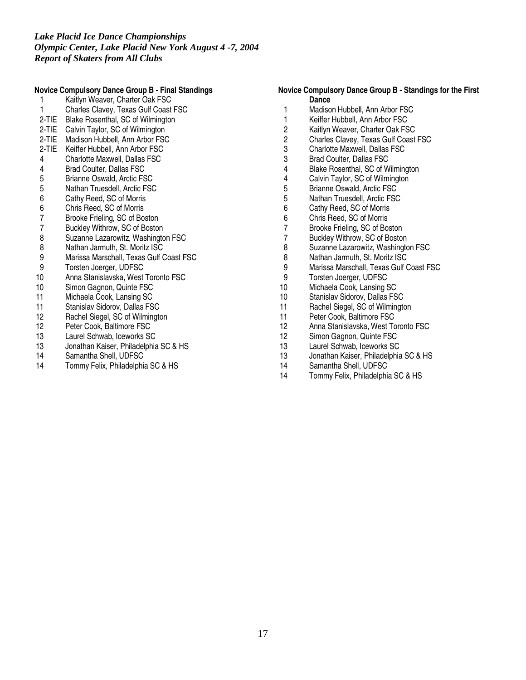# **Novice Compulsory Dance Group B - Final Standings**

| 1              | Kaitlyn Weaver, Charter Oak FSC         |
|----------------|-----------------------------------------|
| 1              | Charles Clavey, Texas Gulf Coast FSC    |
| 2-TIE          | Blake Rosenthal, SC of Wilmington       |
| 2-TIE          | Calvin Taylor, SC of Wilmington         |
| 2-TIE          | Madison Hubbell, Ann Arbor FSC          |
| 2-TIE          | Keiffer Hubbell, Ann Arbor FSC          |
| 4              | Charlotte Maxwell, Dallas FSC           |
| 4              | <b>Brad Coulter, Dallas FSC</b>         |
| 5              | <b>Brianne Oswald, Arctic FSC</b>       |
| 5              | Nathan Truesdell, Arctic FSC            |
| 6              | Cathy Reed, SC of Morris                |
| 6              | Chris Reed, SC of Morris                |
| $\overline{7}$ | Brooke Frieling, SC of Boston           |
| $\overline{7}$ | Buckley Withrow, SC of Boston           |
| 8              | Suzanne Lazarowitz, Washington FSC      |
| 8              | Nathan Jarmuth, St. Moritz ISC          |
| 9              | Marissa Marschall, Texas Gulf Coast FSC |
| 9              | Torsten Joerger, UDFSC                  |
| 10             | Anna Stanislavska, West Toronto FSC     |
| 10             | Simon Gagnon, Quinte FSC                |
| 11             | Michaela Cook, Lansing SC               |
| 11             | Stanislav Sidorov, Dallas FSC           |
| 12             | Rachel Siegel, SC of Wilmington         |
| 12             | Peter Cook, Baltimore FSC               |
| 13             | Laurel Schwab, Iceworks SC              |
| 13             | Jonathan Kaiser, Philadelphia SC & HS   |
|                |                                         |

- Samantha Shell, UDFSC
- Tommy Felix, Philadelphia SC & HS

# **Novice Compulsory Dance Group B - Standings for the First Dance**

- 1 Madison Hubbell, Ann Arbor FSC<br>1 Keiffer Hubbell. Ann Arbor FSC
- 1 Keiffer Hubbell, Ann Arbor FSC<br>2 Kaitlyn Weaver. Charter Oak FS
- 2 Kaitlyn Weaver, Charter Oak FSC<br>2 Charles Clavev. Texas Gulf Coast
- 2 Charles Clavey, Texas Gulf Coast FSC<br>3 Charlotte Maxwell. Dallas FSC
- Charlotte Maxwell, Dallas FSC
- Brad Coulter, Dallas FSC
- Blake Rosenthal, SC of Wilmington
- 4 Calvin Taylor, SC of Wilmington<br>5 Brianne Oswald, Arctic FSC
- 5 Brianne Oswald, Arctic FSC<br>5 Nathan Truesdell, Arctic FSC
- 5 Nathan Truesdell, Arctic FSC<br>6 Cathy Reed, SC of Morris
- Cathy Reed, SC of Morris
- Chris Reed, SC of Morris
- 7 Brooke Frieling, SC of Boston<br>7 Bucklev Withrow. SC of Bostor
- 7 Buckley Withrow, SC of Boston<br>8 Suzanne Lazarowitz, Washingto
- 8 Suzanne Lazarowitz, Washington FSC<br>8 Nathan Jarmuth, St. Moritz ISC
- Nathan Jarmuth, St. Moritz ISC
- Marissa Marschall, Texas Gulf Coast FSC
- Torsten Joerger, UDFSC
- Michaela Cook, Lansing SC
- 10 Stanislav Sidorov, Dallas FSC<br>11 Rachel Siegel. SC of Wilmington
- 11 Rachel Siegel, SC of Wilmington<br>11 Peter Cook, Baltimore FSC
- Peter Cook, Baltimore FSC
- Anna Stanislavska, West Toronto FSC
- Simon Gagnon, Quinte FSC
- Laurel Schwab, Iceworks SC
- Jonathan Kaiser, Philadelphia SC & HS
- Samantha Shell, UDFSC
- Tommy Felix, Philadelphia SC & HS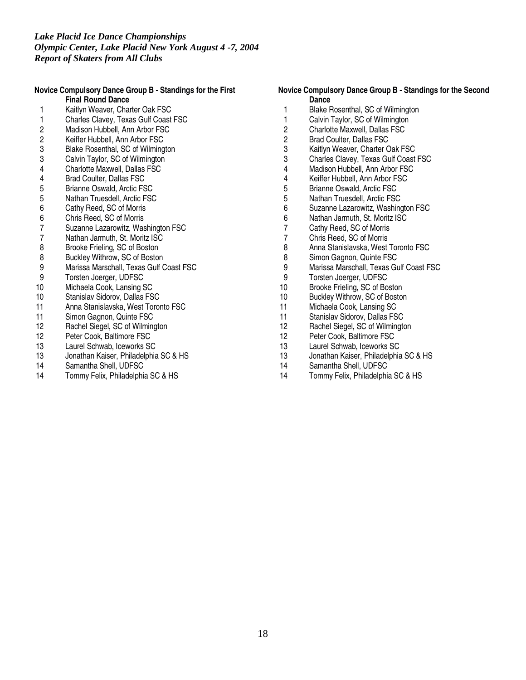# **Novice Compulsory Dance Group B - Standings for the First**

# **Final Round Dance**

- 1 Kaitlyn Weaver, Charter Oak FSC<br>1 Charles Clavev. Texas Gulf Coast
- 1 Charles Clavey, Texas Gulf Coast FSC<br>2 Madison Hubbell. Ann Arbor FSC
- 2 Madison Hubbell, Ann Arbor FSC<br>2 Keiffer Hubbell. Ann Arbor FSC
- 2 Keiffer Hubbell, Ann Arbor FSC<br>3 Blake Rosenthal, SC of Wilming
- Blake Rosenthal, SC of Wilmington
- 3 Calvin Taylor, SC of Wilmington
- 4 Charlotte Maxwell, Dallas FSC<br>4 Brad Coulter. Dallas FSC
- 4 Brad Coulter, Dallas FSC<br>5 Brianne Oswald, Arctic FS
- 5 Brianne Oswald, Arctic FSC<br>5 Nathan Truesdell, Arctic FSC
- 5 Nathan Truesdell, Arctic FSC<br>6 Cathy Reed, SC of Morris
- 6 Cathy Reed, SC of Morris
- 6 Chris Reed, SC of Morris
- 7 Suzanne Lazarowitz, Washington FSC<br>7 Nathan Jarmuth. St. Moritz ISC
- 7 Nathan Jarmuth, St. Moritz ISC<br>8 Brooke Frieling. SC of Boston
- 
- 8 Brooke Frieling, SC of Boston<br>8 Buckley Withrow, SC of Boston Buckley Withrow, SC of Boston
- 9 Marissa Marschall, Texas Gulf Coast FSC
- 9 Torsten Joerger, UDFSC
- 10 Michaela Cook, Lansing SC
- 
- 10 Stanislav Sidorov, Dallas FSC<br>11 Anna Stanislavska, West Toror 11 Anna Stanislavska, West Toronto FSC<br>11 Simon Gagnon, Quinte FSC
- Simon Gagnon, Quinte FSC
- 12 Rachel Siegel, SC of Wilmington<br>12 Peter Cook. Baltimore FSC
- 12 Peter Cook, Baltimore FSC<br>13 Laurel Schwab, Iceworks SC
- 13 Laurel Schwab, Iceworks SC<br>13 Jonathan Kaiser, Philadelphia
- 13 Jonathan Kaiser, Philadelphia SC & HS
- 14 Samantha Shell, UDFSC
- 14 Tommy Felix, Philadelphia SC & HS

# **Novice Compulsory Dance Group B - Standings for the Second Dance**

- 1 Blake Rosenthal, SC of Wilmington<br>1 Calvin Tavlor. SC of Wilmington
- Calvin Taylor, SC of Wilmington
- 2 Charlotte Maxwell, Dallas FSC
- 2 Brad Coulter, Dallas FSC<br>3 Kaitlyn Weaver, Charter C
- Kaitlyn Weaver, Charter Oak FSC
- 3 Charles Clavey, Texas Gulf Coast FSC
- 4 Madison Hubbell, Ann Arbor FSC
- 4 Keiffer Hubbell, Ann Arbor FSC<br>5 Brianne Oswald, Arctic FSC
- 5 Brianne Oswald, Arctic FSC<br>5 Nathan Truesdell, Arctic FSC
- 5 Nathan Truesdell, Arctic FSC<br>6 Suzanne Lazarowitz, Washing
- 6 Suzanne Lazarowitz, Washington FSC<br>6 Nathan Jarmuth. St. Moritz ISC
- 6 Nathan Jarmuth, St. Moritz ISC<br>7 Cathy Reed. SC of Morris
- 7 Cathy Reed, SC of Morris<br>7 Chris Reed, SC of Morris
- 7 Chris Reed, SC of Morris<br>8 Anna Stanislavska, West
- 8 Anna Stanislavska, West Toronto FSC<br>8 Simon Gagnon, Quinte FSC
- Simon Gagnon, Quinte FSC
- 9 Marissa Marschall, Texas Gulf Coast FSC
- 9 Torsten Joerger, UDFSC
- 10 Brooke Frieling, SC of Boston
- 10 Buckley Withrow, SC of Boston<br>11 Michaela Cook, Lansing SC
- 11 Michaela Cook, Lansing SC<br>11 Stanislav Sidorov. Dallas FS
- Stanislav Sidorov, Dallas FSC
- 12 Rachel Siegel, SC of Wilmington 12 Peter Cook, Baltimore FSC
- 13 Laurel Schwab, Iceworks SC
- 13 Jonathan Kaiser, Philadelphia SC & HS
- 
- 14 Samantha Shell, UDFSC
- 14 Tommy Felix, Philadelphia SC & HS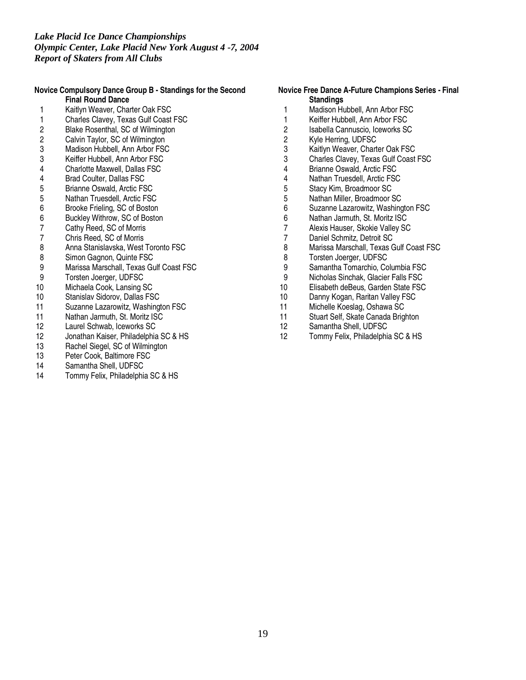### **Novice Compulsory Dance Group B - Standings for the Second Final Round Dance**

- 
- 1 Kaitlyn Weaver, Charter Oak FSC<br>1 Charles Clavev. Texas Gulf Coast 1 Charles Clavey, Texas Gulf Coast FSC<br>2 Blake Rosenthal. SC of Wilmington
- 
- 2 Blake Rosenthal, SC of Wilmington<br>2 Calvin Taylor, SC of Wilmington 2 Calvin Taylor, SC of Wilmington<br>3 Madison Hubbell. Ann Arbor FSC
- Madison Hubbell, Ann Arbor FSC
- 3 Keiffer Hubbell, Ann Arbor FSC
- 4 Charlotte Maxwell, Dallas FSC<br>4 Brad Coulter. Dallas FSC
- 
- 4 Brad Coulter, Dallas FSC<br>5 Brianne Oswald, Arctic FS
- 5 Brianne Oswald, Arctic FSC<br>5 Nathan Truesdell, Arctic FSC
- 5 Nathan Truesdell, Arctic FSC<br>6 Brooke Frieling, SC of Boston 6 Brooke Frieling, SC of Boston<br>6 Buckley Withrow, SC of Boston
- 6 Buckley Withrow, SC of Boston<br>7 Cathy Reed, SC of Morris
- 
- 7 Cathy Reed, SC of Morris<br>7 Chris Reed, SC of Morris
- 7 Chris Reed, SC of Morris<br>8 Anna Stanislavska. West
- 8 Anna Stanislavska, West Toronto FSC<br>8 Simon Gagnon, Quinte FSC Simon Gagnon, Quinte FSC
- 9 Marissa Marschall, Texas Gulf Coast FSC
- 9 Torsten Joerger, UDFSC
- 10 Michaela Cook, Lansing SC
- 
- 10 Stanislav Sidorov, Dallas FSC<br>11 Suzanne Lazarowitz, Washing 11 Suzanne Lazarowitz, Washington FSC<br>11 Nathan Jarmuth, St. Moritz ISC
- Nathan Jarmuth, St. Moritz ISC
- 12 Laurel Schwab, Iceworks SC<br>12 Jonathan Kaiser, Philadelphia
- 12 Jonathan Kaiser, Philadelphia SC & HS<br>13 Rachel Siegel, SC of Wilmington
- 13 Rachel Siegel, SC of Wilmington<br>13 Peter Cook. Baltimore FSC
- Peter Cook, Baltimore FSC
- 14 Samantha Shell, UDFSC
- 14 Tommy Felix, Philadelphia SC & HS

# **Novice Free Dance A-Future Champions Series - Final Standings**

- 1 Madison Hubbell, Ann Arbor FSC<br>1 Keiffer Hubbell. Ann Arbor FSC
- 1 Keiffer Hubbell, Ann Arbor FSC<br>2 Isabella Cannuscio, Iceworks SC
- 2 Isabella Cannuscio, Iceworks SC
- 2 Kyle Herring, UDFSC<br>3 Kaitlvn Weaver, Charte
	- Kaitlyn Weaver, Charter Oak FSC
- 3 Charles Clavey, Texas Gulf Coast FSC
- 4 Brianne Oswald, Arctic FSC
- 4 Nathan Truesdell, Arctic FSC<br>5 Stacy Kim, Broadmoor SC
- 
- 5 Stacy Kim, Broadmoor SC<br>5 Nathan Miller, Broadmoor S
- 5 Nathan Miller, Broadmoor SC<br>6 Suzanne Lazarowitz, Washing 6 Suzanne Lazarowitz, Washington FSC
- 6 Nathan Jarmuth, St. Moritz ISC
- 7 Alexis Hauser, Skokie Valley SC<br>7 Daniel Schmitz, Detroit SC
- 7 Daniel Schmitz, Detroit SC<br>8 Marissa Marschall, Texas G
- Marissa Marschall, Texas Gulf Coast FSC
- 8 Torsten Joerger, UDFSC
- 9 Samantha Tomarchio, Columbia FSC
- 9 Nicholas Sinchak, Glacier Falls FSC
- 10 Elisabeth deBeus, Garden State FSC
- 10 Danny Kogan, Raritan Valley FSC<br>11 Michelle Koeslag, Oshawa SC
- 11 Michelle Koeslag, Oshawa SC<br>11 Stuart Self. Skate Canada Brigl
- Stuart Self, Skate Canada Brighton
- 12 Samantha Shell, UDFSC
- 12 Tommy Felix, Philadelphia SC & HS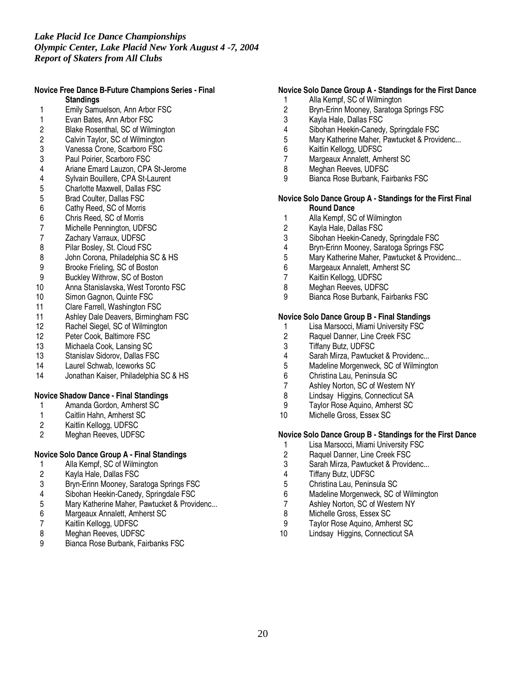### **Novice Free Dance B-Future Champions Series - Final Standings**

- 
- 1 Emily Samuelson, Ann Arbor FSC<br>1 Evan Bates, Ann Arbor FSC
- 1 Evan Bates, Ann Arbor FSC<br>2 Blake Rosenthal, SC of Wilm
- 2 Blake Rosenthal, SC of Wilmington<br>2 Calvin Taylor, SC of Wilmington
- 2 Calvin Taylor, SC of Wilmington<br>3 Vanessa Crone, Scarboro FSC Vanessa Crone, Scarboro FSC
- 3 Paul Poirier, Scarboro FSC
- 
- 4 Ariane Emard Lauzon, CPA St-Jerome<br>4 Sylvain Bouillere, CPA St-Laurent
- 4 Sylvain Bouillere, CPA St-Laurent<br>5 Charlotte Maxwell, Dallas FSC
- 5 Charlotte Maxwell, Dallas FSC<br>5 Brad Coulter, Dallas FSC
- 5 Brad Coulter, Dallas FSC<br>6 Cathy Reed, SC of Morris
- 6 Cathy Reed, SC of Morris
- 6 Chris Reed, SC of Morris
- 7 Michelle Pennington, UDFSC<br>7 Zacharv Varraux. UDFSC
- 7 Zachary Varraux, UDFSC<br>8 Pilar Bosley, St. Cloud FS
- 8 Pilar Bosley, St. Cloud FSC<br>8 John Corona, Philadelphia S
- 8 John Corona, Philadelphia SC & HS
- 9 Brooke Frieling, SC of Boston
- 9 Buckley Withrow, SC of Boston
- 10 Anna Stanislavska, West Toronto FSC
- 10 Simon Gagnon, Quinte FSC<br>11 Clare Farrell. Washington FS
- 11 Clare Farrell, Washington FSC<br>11 Ashley Dale Deavers, Birmingh
- Ashley Dale Deavers, Birmingham FSC
- 12 Rachel Siegel, SC of Wilmington<br>12 Peter Cook. Baltimore FSC
- 12 Peter Cook, Baltimore FSC<br>13 Michaela Cook, Lansing SC
- 13 Michaela Cook, Lansing SC<br>13 Stanislav Sidorov, Dallas FS
- Stanislav Sidorov, Dallas FSC
- 14 Laurel Schwab, Iceworks SC
- 14 Jonathan Kaiser, Philadelphia SC & HS

## **Novice Shadow Dance - Final Standings**

- 1 Amanda Gordon, Amherst SC<br>1 Caitlin Hahn. Amherst SC
- 1 Caitlin Hahn, Amherst SC<br>2 Kaitlin Kellogg, UDFSC
- 2 Kaitlin Kellogg, UDFSC<br>2 Meghan Reeves, UDFS
- Meghan Reeves, UDFSC

# **Novice Solo Dance Group A - Final Standings**

- 1 Alla Kempf, SC of Wilmington<br>2 Kayla Hale, Dallas FSC
- 2 Kayla Hale, Dallas FSC<br>3 Bryn-Erinn Mooney, Sar
- 3 Bryn-Erinn Mooney, Saratoga Springs FSC
- 4 Sibohan Heekin-Canedy, Springdale FSC
- 5 Mary Katherine Maher, Pawtucket & Providenc...<br>6 Margeaux Annalett, Amherst SC
- 6 Margeaux Annalett, Amherst SC
- 7 Kaitlin Kellogg, UDFSC<br>8 Meghan Reeves, UDFS
- 8 Meghan Reeves, UDFSC<br>9 Bianca Rose Burbank. Fai
- Bianca Rose Burbank, Fairbanks FSC

## **Novice Solo Dance Group A - Standings for the First Dance**

- 1 Alla Kempf, SC of Wilmington
- 2 Bryn-Erinn Mooney, Saratoga Springs FSC
- Kayla Hale, Dallas FSC
- 4 Sibohan Heekin-Canedy, Springdale FSC
- 5 Mary Katherine Maher, Pawtucket & Providenc...<br>6 Kaitlin Kellogg. UDFSC
- 6 Kaitlin Kellogg, UDFSC
- 7 Margeaux Annalett, Amherst SC
- 8 Meghan Reeves, UDFSC
- 9 Bianca Rose Burbank, Fairbanks FSC

### **Novice Solo Dance Group A - Standings for the First Final Round Dance**

- 1 Alla Kempf, SC of Wilmington<br>2 Kavla Hale, Dallas FSC
- Kayla Hale, Dallas FSC
- 3 Sibohan Heekin-Canedy, Springdale FSC
- 
- 4 Bryn-Erinn Mooney, Saratoga Springs FSC Mary Katherine Maher, Pawtucket & Providenc...
- 6 Margeaux Annalett, Amherst SC
- 7 Kaitlin Kellogg, UDFSC
- 8 Meghan Reeves, UDFSC
- 9 Bianca Rose Burbank, Fairbanks FSC

## **Novice Solo Dance Group B - Final Standings**

- 1 Lisa Marsocci, Miami University FSC<br>2 Raquel Danner, Line Creek FSC
- 2 Raquel Danner, Line Creek FSC<br>3 Tiffany Butz. UDFSC
- 3 Tiffany Butz, UDFSC<br>4 Sarah Mirza, Pawtuck
- Sarah Mirza, Pawtucket & Providenc...
- 5 Madeline Morgenweck, SC of Wilmington
- 6 Christina Lau, Peninsula SC
- 7 Ashley Norton, SC of Western NY
- 8 Lindsay Higgins, Connecticut SA
- 9 Taylor Rose Aquino, Amherst SC<br>10 Michelle Gross. Essex SC
- Michelle Gross, Essex SC

## **Novice Solo Dance Group B - Standings for the First Dance**

- 1 Lisa Marsocci, Miami University FSC<br>2 Raquel Danner. Line Creek FSC
- Raquel Danner, Line Creek FSC
- 3 Sarah Mirza, Pawtucket & Providenc...
- 
- 4 Tiffany Butz, UDFSC<br>5 Christina Lau, Penins 5 Christina Lau, Peninsula SC
- 6 Madeline Morgenweck, SC of Wilmington
- 7 Ashley Norton, SC of Western NY<br>8 Michelle Gross Essex SC
- 8 Michelle Gross, Essex SC<br>9 Tavlor Rose Aguino, Amhe
- Taylor Rose Aquino, Amherst SC
- 10 Lindsay Higgins, Connecticut SA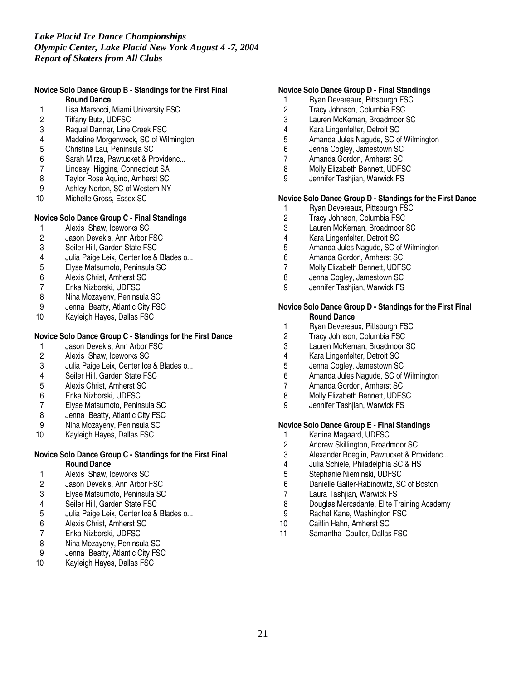### **Novice Solo Dance Group B - Standings for the First Final Round Dance**

- 1 Lisa Marsocci, Miami University FSC<br>2 Tiffany Butz, UDFSC
- 2 Tiffany Butz, UDFSC<br>3 Raquel Danner, Line
- 3 Raquel Danner, Line Creek FSC<br>4 Madeline Morgenweck, SC of Wil
- 4 Madeline Morgenweck, SC of Wilmington<br>5 Christina Lau, Peninsula SC
- 5 Christina Lau, Peninsula SC
- 6 Sarah Mirza, Pawtucket & Providenc...
- 7 Lindsay Higgins, Connecticut SA
- 8 Taylor Rose Aquino, Amherst SC<br>9 Ashley Norton, SC of Western NY
- Ashley Norton, SC of Western NY
- 10 Michelle Gross, Essex SC

# **Novice Solo Dance Group C - Final Standings**

- 1 Alexis Shaw, Iceworks SC<br>2 Jason Devekis. Ann Arbor F
- 2 Jason Devekis, Ann Arbor FSC<br>3 Seiler Hill. Garden State FSC
- 3 Seiler Hill, Garden State FSC<br>4 Julia Paige Leix, Center Ice &
- 4 Julia Paige Leix, Center Ice & Blades o...<br>5 Elvse Matsumoto. Peninsula SC
- 5 Elyse Matsumoto, Peninsula SC
- 6 Alexis Christ, Amherst SC
- 
- 7 Erika Nizborski, UDFSC<br>8 Nina Mozaveny, Peninsu
- 8 Nina Mozayeny, Peninsula SC<br>9 Jenna Beatty, Atlantic City FS 9 Jenna Beatty, Atlantic City FSC<br>10 Kavleigh Haves, Dallas FSC
- Kayleigh Hayes, Dallas FSC

# **Novice Solo Dance Group C - Standings for the First Dance**

- 1 Jason Devekis, Ann Arbor FSC<br>2 Alexis Shaw, Iceworks SC
- 2 Alexis Shaw, Iceworks SC
- 3 Julia Paige Leix, Center Ice & Blades o...
- 4 Seiler Hill, Garden State FSC
- 5 Alexis Christ, Amherst SC
- 6 Erika Nizborski, UDFSC
- 7 Elyse Matsumoto, Peninsula SC<br>8 Jenna Beatty, Atlantic City FSC
- 8 Jenna Beatty, Atlantic City FSC<br>9 Nina Mozayeny, Peninsula SC
- Nina Mozayeny, Peninsula SC
- 10 Kayleigh Hayes, Dallas FSC

## **Novice Solo Dance Group C - Standings for the First Final Round Dance**

- 1 Alexis Shaw, Iceworks SC<br>2 Jason Devekis, Ann Arbor I
- 2 Jason Devekis, Ann Arbor FSC<br>3 Elvse Matsumoto. Peninsula SC
- 3 Elyse Matsumoto, Peninsula SC
- 4 Seiler Hill, Garden State FSC<br>5 Julia Paige Leix, Center Ice &
- 5 Julia Paige Leix, Center Ice & Blades o...<br>6 Alexis Christ, Amherst SC
- 6 Alexis Christ, Amherst SC
- 7 Erika Nizborski, UDFSC<br>8 Nina Mozayeny, Peninsu
- 8 Nina Mozayeny, Peninsula SC<br>9 Jenna Beatty, Atlantic City FS
- Jenna Beatty, Atlantic City FSC
- 10 Kayleigh Hayes, Dallas FSC

# **Novice Solo Dance Group D - Final Standings**

- 1 Ryan Devereaux, Pittsburgh FSC
- 2 Tracy Johnson, Columbia FSC<br>3 Lauren McKernan, Broadmoor 9
- Lauren McKernan, Broadmoor SC
- 4 Kara Lingenfelter, Detroit SC<br>5 Amanda Jules Nagude, SC of
- 5 Amanda Jules Nagude, SC of Wilmington
- Jenna Cogley, Jamestown SC
- 7 Amanda Gordon, Amherst SC
- 8 Molly Elizabeth Bennett, UDFSC
- 9 Jennifer Tashjian, Warwick FS

# **Novice Solo Dance Group D - Standings for the First Dance**

- 1 Ryan Devereaux, Pittsburgh FSC<br>2 Tracy Johnson, Columbia FSC
- 2 Tracy Johnson, Columbia FSC<br>3 Lauren McKernan, Broadmoor
- Lauren McKernan, Broadmoor SC
- 4 Kara Lingenfelter, Detroit SC<br>5 Amanda Jules Nagude. SC of
- 5 Amanda Jules Nagude, SC of Wilmington
- 6 Amanda Gordon, Amherst SC<br>7 Molly Elizabeth Bennett, UDFS
- Molly Elizabeth Bennett, UDFSC
- 8 Jenna Cogley, Jamestown SC
- 9 Jennifer Tashjian, Warwick FS

## **Novice Solo Dance Group D - Standings for the First Final Round Dance**

- 1 Ryan Devereaux, Pittsburgh FSC
- 2 Tracy Johnson, Columbia FSC<br>3 Lauren McKernan, Broadmoor
- 3 Lauren McKernan, Broadmoor SC<br>4 Kara Lingenfelter, Detroit SC
- 4 Kara Lingenfelter, Detroit SC<br>5 Jenna Cogley, Jamestown SC
- 5 Jenna Cogley, Jamestown SC
- 6 Amanda Jules Nagude, SC of Wilmington
- 7 Amanda Gordon, Amherst SC
- 8 Molly Elizabeth Bennett, UDFSC
- 9 Jennifer Tashjian, Warwick FS

## **Novice Solo Dance Group E - Final Standings**

- 1 Kartina Magaard, UDFSC<br>2 Andrew Skillington, Broadi
- 2 Andrew Skillington, Broadmoor SC<br>3 Alexander Boeglin, Pawtucket & Pro
- Alexander Boeglin, Pawtucket & Providenc...
- 4 Julia Schiele, Philadelphia SC & HS
- 5 Stephanie Nieminski, UDFSC<br>6 Danielle Galler-Rabinowitz, SQ
- Danielle Galler-Rabinowitz, SC of Boston
- 7 Laura Tashjian, Warwick FS
- 8 Douglas Mercadante, Elite Training Academy<br>9 Rachel Kane Washington FSC
- Rachel Kane, Washington FSC
- 10 Caitlin Hahn, Amherst SC
- 11 Samantha Coulter, Dallas FSC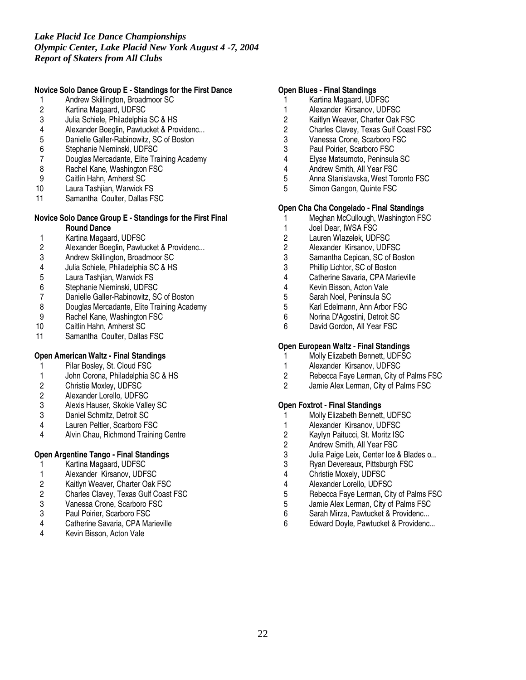# **Novice Solo Dance Group E - Standings for the First Dance**

- 1 Andrew Skillington, Broadmoor SC
- 2 Kartina Magaard, UDFSC<br>3 Julia Schiele, Philadelphia
- Julia Schiele, Philadelphia SC & HS
- 4 Alexander Boeglin, Pawtucket & Providenc...
- 5 Danielle Galler-Rabinowitz, SC of Boston<br>6 Stephanie Nieminski, UDFSC
- 6 Stephanie Nieminski, UDFSC
- 7 Douglas Mercadante, Elite Training Academy
- 8 Rachel Kane, Washington FSC<br>9 Caitlin Hahn. Amherst SC
- 9 Caitlin Hahn, Amherst SC
- 10 Laura Tashjian, Warwick FS
- 11 Samantha Coulter, Dallas FSC

### **Novice Solo Dance Group E - Standings for the First Final Round Dance**

- 1 Kartina Magaard, UDFSC<br>2 Alexander Boeglin, Pawtud
- 2 Alexander Boeglin, Pawtucket & Providenc...<br>3 Andrew Skillington, Broadmoor SC
- 3 Andrew Skillington, Broadmoor SC
- 4 Julia Schiele, Philadelphia SC & HS
- 5 Laura Tashjian, Warwick FS
- 6 Stephanie Nieminski, UDFSC
- 7 Danielle Galler-Rabinowitz, SC of Boston<br>8 Douglas Mercadante, Elite Training Acade
- 8 Douglas Mercadante, Elite Training Academy<br>9 Rachel Kane, Washington FSC
- Rachel Kane, Washington FSC
- 10 Caitlin Hahn, Amherst SC
- 11 Samantha Coulter, Dallas FSC

## **Open American Waltz - Final Standings**

- 1 Pilar Bosley, St. Cloud FSC
- 1 John Corona, Philadelphia SC & HS
- 2 Christie Moxley, UDFSC
- 2 Alexander Lorello, UDFSC
- 3 Alexis Hauser, Skokie Valley SC<br>3 Daniel Schmitz, Detroit SC
- 3 Daniel Schmitz, Detroit SC
- Lauren Peltier, Scarboro FSC
- 4 Alvin Chau, Richmond Training Centre

# **Open Argentine Tango - Final Standings**

- 1 Kartina Magaard, UDFSC
- 1 Alexander Kirsanov, UDFSC<br>2 Kaitlyn Weaver, Charter Oak I
- 2 Kaitlyn Weaver, Charter Oak FSC<br>2 Charles Clavey, Texas Gulf Coast
- 2 Charles Clavey, Texas Gulf Coast FSC
- 3 Vanessa Crone, Scarboro FSC<br>3 Paul Poirier, Scarboro FSC
- 3 Paul Poirier, Scarboro FSC<br>4 Catherine Savaria, CPA Ma
- 4 Catherine Savaria, CPA Marieville<br>4 Kevin Bisson, Acton Vale
- Kevin Bisson, Acton Vale

## **Open Blues - Final Standings**

- 1 Kartina Magaard, UDFSC
- 1 Alexander Kirsanov, UDFSC<br>2 Kaitlyn Weaver, Charter Oak I
- 2 Kaitlyn Weaver, Charter Oak FSC<br>2 Charles Clavev. Texas Gulf Coast
- 2 Charles Clavey, Texas Gulf Coast FSC
- 3 Vanessa Crone, Scarboro FSC<br>3 Paul Poirier, Scarboro FSC
- Paul Poirier, Scarboro FSC
- 4 Elyse Matsumoto, Peninsula SC
- 4 Andrew Smith, All Year FSC
- 5 Anna Stanislavska, West Toronto FSC<br>5 Simon Gangon, Quinte FSC
- 5 Simon Gangon, Quinte FSC

## **Open Cha Cha Congelado - Final Standings**

- 1 Meghan McCullough, Washington FSC<br>1 Joel Dear. IWSA FSC
- 1 Joel Dear, IWSA FSC<br>2 Lauren Wlazelek, UDF
- 
- 2 Lauren Wlazelek, UDFSC<br>2 Alexander Kirsanov. UDF
- 2 Alexander Kirsanov, UDFSC<br>3 Samantha Cepican, SC of Bo 3 Samantha Cepican, SC of Boston<br>3 Phillip Lichtor, SC of Boston
- Phillip Lichtor, SC of Boston
- 4 Catherine Savaria, CPA Marieville
- 4 Kevin Bisson, Acton Vale<br>5 Sarah Noel, Peninsula SC
- 5 Sarah Noel, Peninsula SC<br>5 Karl Edelmann, Ann Arbor
- 5 Karl Edelmann, Ann Arbor FSC<br>6 Norina D'Agostini, Detroit SC
- Norina D'Agostini, Detroit SC
- 6 David Gordon, All Year FSC

## **Open European Waltz - Final Standings**

- 1 Molly Elizabeth Bennett, UDFSC
- 1 Alexander Kirsanov, UDFSC<br>2 Rebecca Fave Lerman. City o
- 2 Rebecca Faye Lerman, City of Palms FSC
- 2 Jamie Alex Lerman, City of Palms FSC

### **Open Foxtrot - Final Standings**

- 1 Molly Elizabeth Bennett, UDFSC<br>1 Alexander Kirsanov, UDFSC
- 
- 1 Alexander Kirsanov, UDFSC<br>2 Kaylyn Paitucci, St. Moritz ISC 2 Kaylyn Paitucci, St. Moritz ISC
- 2 Andrew Smith, All Year FSC<br>3 Julia Paige Leix. Center Ice &
- Julia Paige Leix, Center Ice & Blades o...
- 3 Ryan Devereaux, Pittsburgh FSC
- 4 Christie Moxely, UDFSC
- 4 Alexander Lorello, UDFSC<br>5 Rebecca Faye Lerman, Cit
- 5 Rebecca Faye Lerman, City of Palms FSC
- 5 Jamie Alex Lerman, City of Palms FSC<br>6 Sarah Mirza. Pawtucket & Providenc...
- 6 Sarah Mirza, Pawtucket & Providenc...
- 6 Edward Doyle, Pawtucket & Providenc...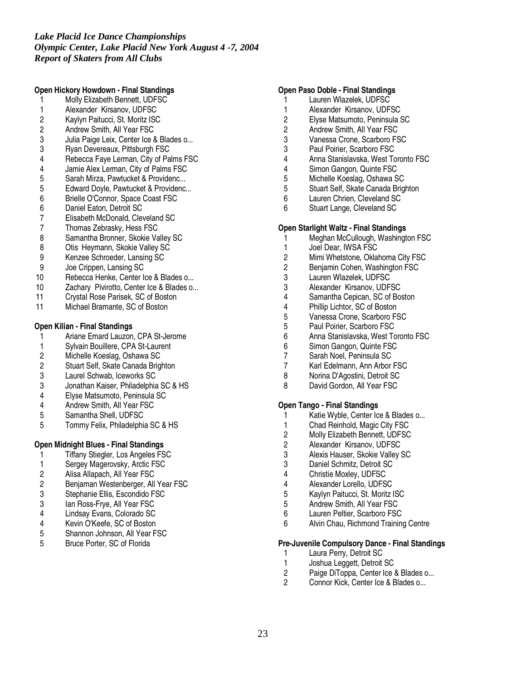## **Open Hickory Howdown - Final Standings**

- 1 Molly Elizabeth Bennett, UDFSC
- 1 Alexander Kirsanov, UDFSC<br>2 Kaylyn Paitucci, St. Moritz ISC
- 2 Kaylyn Paitucci, St. Moritz ISC
- 2 Andrew Smith, All Year FSC<br>3 Julia Paige Leix. Center Ice 8
- 3 Julia Paige Leix, Center Ice & Blades o...<br>3 Ryan Devereaux, Pittsburgh FSC
- Ryan Devereaux, Pittsburgh FSC
- 4 Rebecca Faye Lerman, City of Palms FSC
- 4 Jamie Alex Lerman, City of Palms FSC<br>5 Sarah Mirza, Pawtucket & Providenc...
- 5 Sarah Mirza, Pawtucket & Providenc...<br>5 Edward Doyle, Pawtucket & Providenc..
- 5 Edward Doyle, Pawtucket & Providenc...<br>6 Brielle O'Connor, Space Coast FSC
- 6 Brielle O'Connor, Space Coast FSC<br>6 Daniel Eaton, Detroit SC
- 6 Daniel Eaton, Detroit SC<br>7 Elisabeth McDonald, Clev
- 7 Elisabeth McDonald, Cleveland SC<br>7 Thomas Zebrasky. Hess FSC
- 7 Thomas Zebrasky, Hess FSC<br>8 Samantha Bronner. Skokie Va
- 8 Samantha Bronner, Skokie Valley SC<br>8 Otis Heymann, Skokie Valley SC
- 
- 8 Otis Heymann, Skokie Valley SC<br>9 Kenzee Schroeder, Lansing SC 9 Kenzee Schroeder, Lansing SC
- 9 Joe Crippen, Lansing SC
- 10 Rebecca Henke, Center Ice & Blades o...
- 10 Zachary Pivirotto, Center Ice & Blades o...
- 11 Crystal Rose Parisek, SC of Boston<br>11 Michael Bramante. SC of Boston
- Michael Bramante, SC of Boston

### **Open Kilian - Final Standings**

- 1 Ariane Emard Lauzon, CPA St-Jerome<br>1 Sylvain Bouillere, CPA St-Laurent
- 1 Sylvain Bouillere, CPA St-Laurent<br>2 Michelle Koeslag, Oshawa SC
- 
- 2 Michelle Koeslag, Oshawa SC<br>2 Stuart Self. Skate Canada Brigl 2 Stuart Self, Skate Canada Brighton<br>3 Laurel Schwab, Iceworks SC
- Laurel Schwab, Iceworks SC
- 3 Jonathan Kaiser, Philadelphia SC & HS
- 4 Elyse Matsumoto, Peninsula SC
- 4 Andrew Smith, All Year FSC<br>5 Samantha Shell, UDFSC
- 5 Samantha Shell, UDFSC<br>5 Tommy Felix, Philadelphia
- 5 Tommy Felix, Philadelphia SC & HS

## **Open Midnight Blues - Final Standings**

- 1 Tiffany Stiegler, Los Angeles FSC
- 1 Sergey Magerovsky, Arctic FSC<br>2 Alisa Allapach, All Year FSC
- 2 Alisa Allapach, All Year FSC<br>2 Benjaman Westenberger, All
- 2 Benjaman Westenberger, All Year FSC<br>3 Stephanie Ellis. Escondido FSC
- Stephanie Ellis, Escondido FSC
- 
- 3 Ian Ross-Frye, All Year FSC<br>4 Lindsay Evans, Colorado SC 4 Lindsay Evans, Colorado SC<br>4 Kevin O'Keefe, SC of Boston
- 4 Kevin O'Keefe, SC of Boston<br>5 Shannon Johnson, All Year F
- 5 Shannon Johnson, All Year FSC<br>5 Bruce Porter. SC of Florida
- 5 Bruce Porter, SC of Florida

### **Open Paso Doble - Final Standings**

- 1 Lauren Wlazelek, UDFSC
- 1 Alexander Kirsanov, UDFSC<br>2 Elvse Matsumoto, Peninsula 9
- 2 Elyse Matsumoto, Peninsula SC
- 2 Andrew Smith, All Year FSC
- 3 Vanessa Crone, Scarboro FSC<br>3 Paul Poirier, Scarboro FSC
- Paul Poirier, Scarboro FSC
- 4 Anna Stanislavska, West Toronto FSC
- 4 Simon Gangon, Quinte FSC
- 5 Michelle Koeslag, Oshawa SC<br>5 Stuart Self, Skate Canada Brig
- 5 Stuart Self, Skate Canada Brighton<br>6 Lauren Chrien, Cleveland SC
- Lauren Chrien, Cleveland SC
- 6 Stuart Lange, Cleveland SC

# **Open Starlight Waltz - Final Standings**

- 1 Meghan McCullough, Washington FSC<br>1 Joel Dear. IWSA FSC
- 1 Joel Dear, IWSA FSC<br>2 Mimi Whetstone, Okla
- 2 Mimi Whetstone, Oklahoma City FSC<br>2 Beniamin Cohen. Washington FSC
- 2 Benjamin Cohen, Washington FSC<br>3 Lauren Wlazelek. UDFSC
- 
- 3 Lauren Wlazelek, UDFSC 3 Alexander Kirsanov, UDFSC
- 4 Samantha Cepican, SC of Boston<br>4 Phillip Lichtor, SC of Boston
- 
- 4 Phillip Lichtor, SC of Boston<br>5 Vanessa Crone, Scarboro FS 5 Vanessa Crone, Scarboro FSC<br>5 Paul Poirier, Scarboro FSC
- 5 Paul Poirier, Scarboro FSC<br>6 Anna Stanislavska. West To
- 6 Anna Stanislavska, West Toronto FSC<br>6 Simon Gangon, Quinte FSC
- 6 Simon Gangon, Quinte FSC
- 7 Sarah Noel, Peninsula SC<br>7 Karl Edelmann, Ann Arbor
- Karl Edelmann, Ann Arbor FSC
- 8 Norina D'Agostini, Detroit SC
- 8 David Gordon, All Year FSC

## **Open Tango - Final Standings**

- 1 Katie Wyble, Center Ice & Blades o...<br>1 Chad Reinhold, Magic City FSC
- 
- 1 Chad Reinhold, Magic City FSC<br>2 Molly Elizabeth Bennett, UDFSC 2 Molly Elizabeth Bennett, UDFSC<br>2 Alexander Kirsanov, UDFSC
- 2 Alexander Kirsanov, UDFSC<br>3 Alexis Hauser. Skokie Vallev (
- 3 Alexis Hauser, Skokie Valley SC
- 3 Daniel Schmitz, Detroit SC
- 4 Christie Moxley, UDFSC<br>4 Alexander Lorello, UDFS
- 4 Alexander Lorello, UDFSC<br>5 Kavlvn Paitucci, St. Moritz
- 5 Kaylyn Paitucci, St. Moritz ISC
- 5 Andrew Smith, All Year FSC<br>6 Lauren Peltier. Scarboro FSC
- Lauren Peltier, Scarboro FSC
- 6 Alvin Chau, Richmond Training Centre

# **Pre-Juvenile Compulsory Dance - Final Standings**

- 1 Laura Perry, Detroit SC<br>1 Joshua Leggett, Detroit
- 1 Joshua Leggett, Detroit SC<br>2 Paige DiToppa. Center Ice
- 2 Paige DiToppa, Center Ice & Blades o...<br>2 Connor Kick. Center Ice & Blades o...
- 2 Connor Kick, Center Ice & Blades o...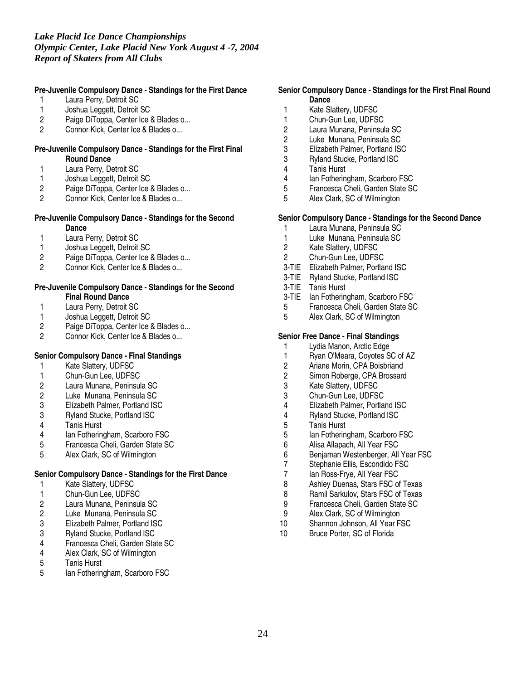# **Pre-Juvenile Compulsory Dance - Standings for the First Dance**

- 1 Laura Perry, Detroit SC
- 1 Joshua Leggett, Detroit SC<br>2 Paige DiToppa. Center Ice
- 2 Paige DiToppa, Center Ice & Blades o...<br>2 Connor Kick, Center Ice & Blades o...
- 2 Connor Kick, Center Ice & Blades o...

## **Pre-Juvenile Compulsory Dance - Standings for the First Final Round Dance**

- 1 Laura Perry, Detroit SC
- 1 Joshua Leggett, Detroit SC<br>2 Paige DiToppa, Center Ice &
- 2 Paige DiToppa, Center Ice & Blades o...<br>2 Connor Kick, Center Ice & Blades o...
- 2 Connor Kick, Center Ice & Blades o...

### **Pre-Juvenile Compulsory Dance - Standings for the Second Dance**

- 1 Laura Perry, Detroit SC<br>1 Joshua Leggett, Detroit
- 
- 1 Joshua Leggett, Detroit SC<br>2 Paige DiToppa, Center Ice & 2 Paige DiToppa, Center Ice & Blades o...<br>2 Connor Kick. Center Ice & Blades o...
- 2 Connor Kick, Center Ice & Blades o...

#### **Pre-Juvenile Compulsory Dance - Standings for the Second Final Round Dance**

- 
- 1 Laura Perry, Detroit SC<br>1 Joshua Leggett, Detroit 1 Joshua Leggett, Detroit SC<br>2 Paige DiToppa, Center Ice &
- 2 Paige DiToppa, Center Ice & Blades o...<br>2 Connor Kick. Center Ice & Blades o...
- 2 Connor Kick, Center Ice & Blades o...

### **Senior Compulsory Dance - Final Standings**

- 1 Kate Slattery, UDFSC
- 1 Chun-Gun Lee, UDFSC<br>2 Laura Munana, Peninsul
- 2 Laura Munana, Peninsula SC
- 2 Luke Munana, Peninsula SC
- 3 Elizabeth Palmer, Portland ISC<br>3 Ryland Stucke, Portland ISC
- 3 Ryland Stucke, Portland ISC<br>4 Tanis Hurst
- 
- 4 Tanis Hurst<br>4 Ian Fothering
- 4 Ian Fotheringham, Scarboro FSC<br>5 Francesca Cheli, Garden State S0 5 Francesca Cheli, Garden State SC<br>5 Alex Clark. SC of Wilmington
- 5 Alex Clark, SC of Wilmington

### **Senior Compulsory Dance - Standings for the First Dance**

- 1 Kate Slattery, UDFSC<br>1 Chun-Gun Lee. UDFS
- Chun-Gun Lee, UDFSC
- 2 Laura Munana, Peninsula SC
- 2 Luke Munana, Peninsula SC
- 3 Elizabeth Palmer, Portland ISC
- 3 Ryland Stucke, Portland ISC<br>4 Francesca Cheli, Garden Sta
- 4 Francesca Cheli, Garden State SC<br>4 Alex Clark, SC of Wilmington
- 4 Alex Clark, SC of Wilmington
- 5 Tanis Hurst
- 5 Ian Fotheringham, Scarboro FSC

## **Senior Compulsory Dance - Standings for the First Final Round Dance**

- 1 Kate Slattery, UDFSC<br>1 Chun-Gun Lee, UDFS
- Chun-Gun Lee, UDFSC
- 2 Laura Munana, Peninsula SC
- 2 Luke Munana, Peninsula SC
- 3 Elizabeth Palmer, Portland ISC
- 3 Ryland Stucke, Portland ISC
- 4 Tanis Hurst
- 4 Ian Fotheringham, Scarboro FSC<br>5 Francesca Cheli, Garden State SC
- 5 Francesca Cheli, Garden State SC<br>5 Alex Clark, SC of Wilmington
- Alex Clark, SC of Wilmington

### **Senior Compulsory Dance - Standings for the Second Dance**

- 1 Laura Munana, Peninsula SC
- 1 Luke Munana, Peninsula SC<br>2 Kate Slattery, UDFSC
- Kate Slattery, UDFSC
- 2 Chun-Gun Lee, UDFSC
- 3-TIE Elizabeth Palmer, Portland ISC
- 3-TIE Ryland Stucke, Portland ISC
- 3-TIE Tanis Hurst
- 3-TIE Ian Fotheringham, Scarboro FSC<br>5 Francesca Cheli, Garden State SC
- 5 Francesca Cheli, Garden State SC<br>5 Alex Clark. SC of Wilmington
- Alex Clark, SC of Wilmington

# **Senior Free Dance - Final Standings**

- 
- 1 Lydia Manon, Arctic Edge<br>1 Ryan O'Meara, Covotes S Ryan O'Meara, Coyotes SC of AZ
- 2 Ariane Morin, CPA Boisbriand<br>2 Simon Roberge. CPA Brossard
- Simon Roberge, CPA Brossard
- 3 Kate Slattery, UDFSC
- 3 Chun-Gun Lee, UDFSC
- 4 Elizabeth Palmer, Portland ISC<br>4 Ryland Stucke, Portland ISC
- 4 Ryland Stucke, Portland ISC<br>5 Tanis Hurst
- 5 Tanis Hurst<br>5 Ian Fothering
- 5 Ian Fotheringham, Scarboro FSC<br>6 Alisa Allapach. All Year FSC
- 6 Alisa Allapach, All Year FSC
- 6 Benjaman Westenberger, All Year FSC<br>7 Stephanie Ellis. Escondido FSC
- Stephanie Ellis, Escondido FSC
- 7 Ian Ross-Frye, All Year FSC
- 8 Ashley Duenas, Stars FSC of Texas
- 8 Ramil Sarkulov, Stars FSC of Texas
- 9 Francesca Cheli, Garden State SC<br>9 Alex Clark SC of Wilmington
- Alex Clark, SC of Wilmington
- 10 Shannon Johnson, All Year FSC
- 10 Bruce Porter, SC of Florida